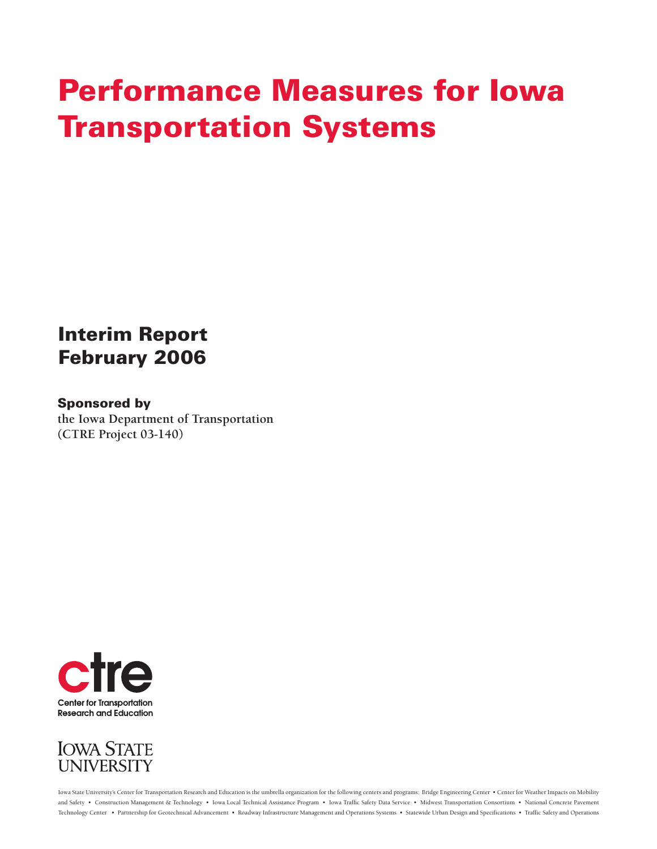# **Performance Measures for Iowa Transportation Systems**

## **Interim Report February 2006**

## **Sponsored by**

**the Iowa Department of Transportation (CTRE Project 03-140)** 





Iowa State University's Center for Transportation Research and Education is the umbrella organization for the following centers and programs: Bridge Engineering Center • Center for Weather Impacts on Mobility and Safety • Construction Management & Technology • Iowa Local Technical Assistance Program • Iowa Traffi c Safety Data Service • Midwest Transportation Consortium • National Concrete Pavement Technology Center • Partnership for Geotechnical Advancement • Roadway Infrastructure Management and Operations Systems • Statewide Urban Design and Specifications • Traffic Safety and Operations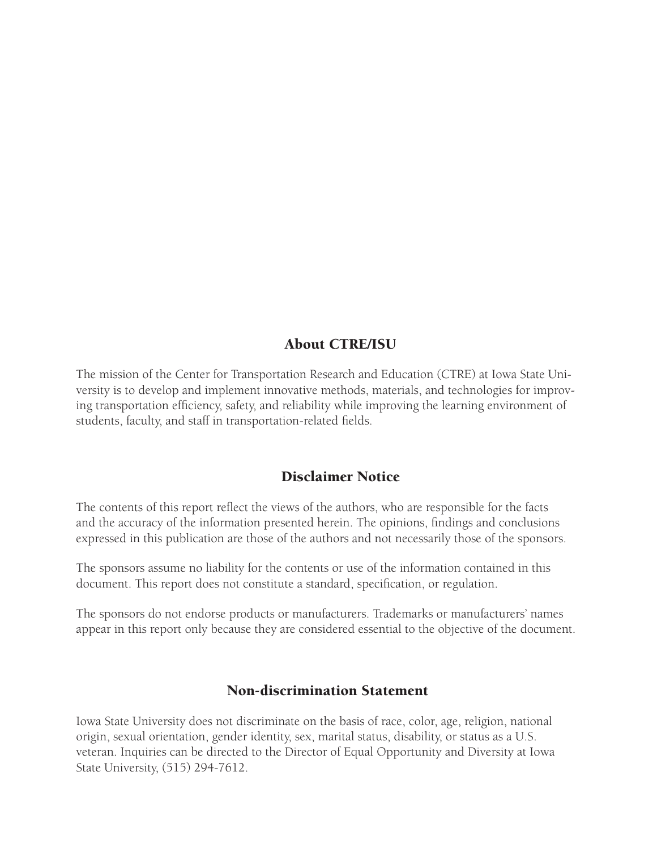## About CTRE/ISU

The mission of the Center for Transportation Research and Education (CTRE) at Iowa State University is to develop and implement innovative methods, materials, and technologies for improving transportation efficiency, safety, and reliability while improving the learning environment of students, faculty, and staff in transportation-related fields.

## Disclaimer Notice

The contents of this report reflect the views of the authors, who are responsible for the facts and the accuracy of the information presented herein. The opinions, findings and conclusions expressed in this publication are those of the authors and not necessarily those of the sponsors.

The sponsors assume no liability for the contents or use of the information contained in this document. This report does not constitute a standard, specification, or regulation.

The sponsors do not endorse products or manufacturers. Trademarks or manufacturers' names appear in this report only because they are considered essential to the objective of the document.

## Non-discrimination Statement

Iowa State University does not discriminate on the basis of race, color, age, religion, national origin, sexual orientation, gender identity, sex, marital status, disability, or status as a U.S. veteran. Inquiries can be directed to the Director of Equal Opportunity and Diversity at Iowa State University, (515) 294-7612.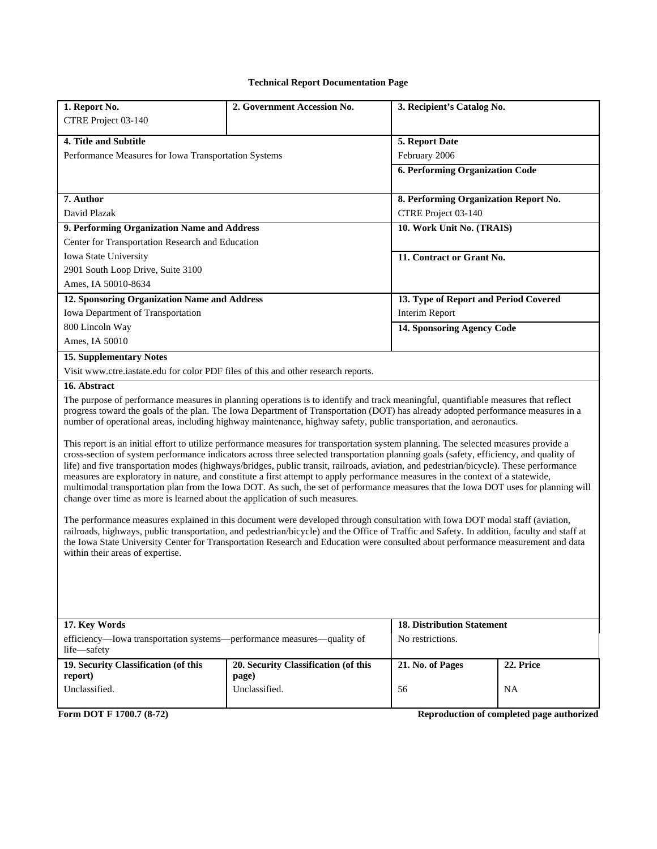#### **Technical Report Documentation Page**

| 1. Report No.                                                                                                                                                                                                                                                                                                                                                                                                                                                                                                                                                                                                                                                                                                                                                                                                                                                                                                                                                                                                                                                                                                                                                                                                                                                                                                                                                                                                                                                                                                                                                                                                                                             | 2. Government Accession No.          | 3. Recipient's Catalog No.             |                                           |  |  |
|-----------------------------------------------------------------------------------------------------------------------------------------------------------------------------------------------------------------------------------------------------------------------------------------------------------------------------------------------------------------------------------------------------------------------------------------------------------------------------------------------------------------------------------------------------------------------------------------------------------------------------------------------------------------------------------------------------------------------------------------------------------------------------------------------------------------------------------------------------------------------------------------------------------------------------------------------------------------------------------------------------------------------------------------------------------------------------------------------------------------------------------------------------------------------------------------------------------------------------------------------------------------------------------------------------------------------------------------------------------------------------------------------------------------------------------------------------------------------------------------------------------------------------------------------------------------------------------------------------------------------------------------------------------|--------------------------------------|----------------------------------------|-------------------------------------------|--|--|
| CTRE Project 03-140                                                                                                                                                                                                                                                                                                                                                                                                                                                                                                                                                                                                                                                                                                                                                                                                                                                                                                                                                                                                                                                                                                                                                                                                                                                                                                                                                                                                                                                                                                                                                                                                                                       |                                      |                                        |                                           |  |  |
|                                                                                                                                                                                                                                                                                                                                                                                                                                                                                                                                                                                                                                                                                                                                                                                                                                                                                                                                                                                                                                                                                                                                                                                                                                                                                                                                                                                                                                                                                                                                                                                                                                                           |                                      |                                        |                                           |  |  |
| 4. Title and Subtitle                                                                                                                                                                                                                                                                                                                                                                                                                                                                                                                                                                                                                                                                                                                                                                                                                                                                                                                                                                                                                                                                                                                                                                                                                                                                                                                                                                                                                                                                                                                                                                                                                                     | 5. Report Date                       |                                        |                                           |  |  |
| Performance Measures for Iowa Transportation Systems                                                                                                                                                                                                                                                                                                                                                                                                                                                                                                                                                                                                                                                                                                                                                                                                                                                                                                                                                                                                                                                                                                                                                                                                                                                                                                                                                                                                                                                                                                                                                                                                      | February 2006                        |                                        |                                           |  |  |
|                                                                                                                                                                                                                                                                                                                                                                                                                                                                                                                                                                                                                                                                                                                                                                                                                                                                                                                                                                                                                                                                                                                                                                                                                                                                                                                                                                                                                                                                                                                                                                                                                                                           |                                      | <b>6. Performing Organization Code</b> |                                           |  |  |
|                                                                                                                                                                                                                                                                                                                                                                                                                                                                                                                                                                                                                                                                                                                                                                                                                                                                                                                                                                                                                                                                                                                                                                                                                                                                                                                                                                                                                                                                                                                                                                                                                                                           |                                      |                                        |                                           |  |  |
| 7. Author                                                                                                                                                                                                                                                                                                                                                                                                                                                                                                                                                                                                                                                                                                                                                                                                                                                                                                                                                                                                                                                                                                                                                                                                                                                                                                                                                                                                                                                                                                                                                                                                                                                 |                                      | 8. Performing Organization Report No.  |                                           |  |  |
| David Plazak                                                                                                                                                                                                                                                                                                                                                                                                                                                                                                                                                                                                                                                                                                                                                                                                                                                                                                                                                                                                                                                                                                                                                                                                                                                                                                                                                                                                                                                                                                                                                                                                                                              |                                      | CTRE Project 03-140                    |                                           |  |  |
| 9. Performing Organization Name and Address                                                                                                                                                                                                                                                                                                                                                                                                                                                                                                                                                                                                                                                                                                                                                                                                                                                                                                                                                                                                                                                                                                                                                                                                                                                                                                                                                                                                                                                                                                                                                                                                               |                                      | 10. Work Unit No. (TRAIS)              |                                           |  |  |
| Center for Transportation Research and Education                                                                                                                                                                                                                                                                                                                                                                                                                                                                                                                                                                                                                                                                                                                                                                                                                                                                                                                                                                                                                                                                                                                                                                                                                                                                                                                                                                                                                                                                                                                                                                                                          |                                      |                                        |                                           |  |  |
| Iowa State University                                                                                                                                                                                                                                                                                                                                                                                                                                                                                                                                                                                                                                                                                                                                                                                                                                                                                                                                                                                                                                                                                                                                                                                                                                                                                                                                                                                                                                                                                                                                                                                                                                     |                                      | 11. Contract or Grant No.              |                                           |  |  |
| 2901 South Loop Drive, Suite 3100                                                                                                                                                                                                                                                                                                                                                                                                                                                                                                                                                                                                                                                                                                                                                                                                                                                                                                                                                                                                                                                                                                                                                                                                                                                                                                                                                                                                                                                                                                                                                                                                                         |                                      |                                        |                                           |  |  |
| Ames, IA 50010-8634                                                                                                                                                                                                                                                                                                                                                                                                                                                                                                                                                                                                                                                                                                                                                                                                                                                                                                                                                                                                                                                                                                                                                                                                                                                                                                                                                                                                                                                                                                                                                                                                                                       |                                      |                                        |                                           |  |  |
| 12. Sponsoring Organization Name and Address                                                                                                                                                                                                                                                                                                                                                                                                                                                                                                                                                                                                                                                                                                                                                                                                                                                                                                                                                                                                                                                                                                                                                                                                                                                                                                                                                                                                                                                                                                                                                                                                              |                                      | 13. Type of Report and Period Covered  |                                           |  |  |
| Iowa Department of Transportation                                                                                                                                                                                                                                                                                                                                                                                                                                                                                                                                                                                                                                                                                                                                                                                                                                                                                                                                                                                                                                                                                                                                                                                                                                                                                                                                                                                                                                                                                                                                                                                                                         |                                      | Interim Report                         |                                           |  |  |
| 800 Lincoln Way                                                                                                                                                                                                                                                                                                                                                                                                                                                                                                                                                                                                                                                                                                                                                                                                                                                                                                                                                                                                                                                                                                                                                                                                                                                                                                                                                                                                                                                                                                                                                                                                                                           |                                      | 14. Sponsoring Agency Code             |                                           |  |  |
| Ames, IA 50010                                                                                                                                                                                                                                                                                                                                                                                                                                                                                                                                                                                                                                                                                                                                                                                                                                                                                                                                                                                                                                                                                                                                                                                                                                                                                                                                                                                                                                                                                                                                                                                                                                            |                                      |                                        |                                           |  |  |
| <b>15. Supplementary Notes</b>                                                                                                                                                                                                                                                                                                                                                                                                                                                                                                                                                                                                                                                                                                                                                                                                                                                                                                                                                                                                                                                                                                                                                                                                                                                                                                                                                                                                                                                                                                                                                                                                                            |                                      |                                        |                                           |  |  |
| Visit www.ctre.iastate.edu for color PDF files of this and other research reports.                                                                                                                                                                                                                                                                                                                                                                                                                                                                                                                                                                                                                                                                                                                                                                                                                                                                                                                                                                                                                                                                                                                                                                                                                                                                                                                                                                                                                                                                                                                                                                        |                                      |                                        |                                           |  |  |
| 16. Abstract<br>The purpose of performance measures in planning operations is to identify and track meaningful, quantifiable measures that reflect<br>progress toward the goals of the plan. The Iowa Department of Transportation (DOT) has already adopted performance measures in a<br>number of operational areas, including highway maintenance, highway safety, public transportation, and aeronautics.<br>This report is an initial effort to utilize performance measures for transportation system planning. The selected measures provide a<br>cross-section of system performance indicators across three selected transportation planning goals (safety, efficiency, and quality of<br>life) and five transportation modes (highways/bridges, public transit, railroads, aviation, and pedestrian/bicycle). These performance<br>measures are exploratory in nature, and constitute a first attempt to apply performance measures in the context of a statewide,<br>multimodal transportation plan from the Iowa DOT. As such, the set of performance measures that the Iowa DOT uses for planning will<br>change over time as more is learned about the application of such measures.<br>The performance measures explained in this document were developed through consultation with Iowa DOT modal staff (aviation,<br>railroads, highways, public transportation, and pedestrian/bicycle) and the Office of Traffic and Safety. In addition, faculty and staff at<br>the Iowa State University Center for Transportation Research and Education were consulted about performance measurement and data<br>within their areas of expertise. |                                      |                                        |                                           |  |  |
| 17. Key Words                                                                                                                                                                                                                                                                                                                                                                                                                                                                                                                                                                                                                                                                                                                                                                                                                                                                                                                                                                                                                                                                                                                                                                                                                                                                                                                                                                                                                                                                                                                                                                                                                                             |                                      | <b>18. Distribution Statement</b>      |                                           |  |  |
| efficiency—Iowa transportation systems—performance measures—quality of<br>life-safety                                                                                                                                                                                                                                                                                                                                                                                                                                                                                                                                                                                                                                                                                                                                                                                                                                                                                                                                                                                                                                                                                                                                                                                                                                                                                                                                                                                                                                                                                                                                                                     |                                      | No restrictions.                       |                                           |  |  |
| 19. Security Classification (of this                                                                                                                                                                                                                                                                                                                                                                                                                                                                                                                                                                                                                                                                                                                                                                                                                                                                                                                                                                                                                                                                                                                                                                                                                                                                                                                                                                                                                                                                                                                                                                                                                      | 20. Security Classification (of this | 21. No. of Pages                       | 22. Price                                 |  |  |
| report)<br>Unclassified.                                                                                                                                                                                                                                                                                                                                                                                                                                                                                                                                                                                                                                                                                                                                                                                                                                                                                                                                                                                                                                                                                                                                                                                                                                                                                                                                                                                                                                                                                                                                                                                                                                  | page)                                |                                        |                                           |  |  |
|                                                                                                                                                                                                                                                                                                                                                                                                                                                                                                                                                                                                                                                                                                                                                                                                                                                                                                                                                                                                                                                                                                                                                                                                                                                                                                                                                                                                                                                                                                                                                                                                                                                           | Unclassified.                        | 56                                     | <b>NA</b>                                 |  |  |
| Form DOT F 1700.7 (8-72)                                                                                                                                                                                                                                                                                                                                                                                                                                                                                                                                                                                                                                                                                                                                                                                                                                                                                                                                                                                                                                                                                                                                                                                                                                                                                                                                                                                                                                                                                                                                                                                                                                  |                                      |                                        | Reproduction of completed page authorized |  |  |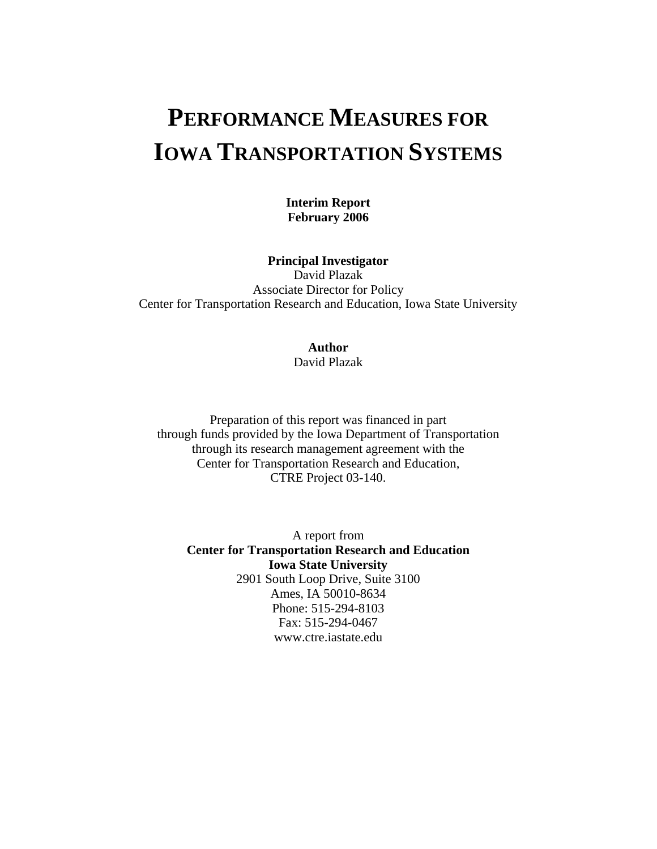## **PERFORMANCE MEASURES FOR IOWA TRANSPORTATION SYSTEMS**

**Interim Report February 2006** 

**Principal Investigator** 

David Plazak Associate Director for Policy Center for Transportation Research and Education, Iowa State University

## **Author**

David Plazak

Preparation of this report was financed in part through funds provided by the Iowa Department of Transportation through its research management agreement with the Center for Transportation Research and Education, CTRE Project 03-140.

A report from **Center for Transportation Research and Education Iowa State University**  2901 South Loop Drive, Suite 3100 Ames, IA 50010-8634 Phone: 515-294-8103 Fax: 515-294-0467 www.ctre.iastate.edu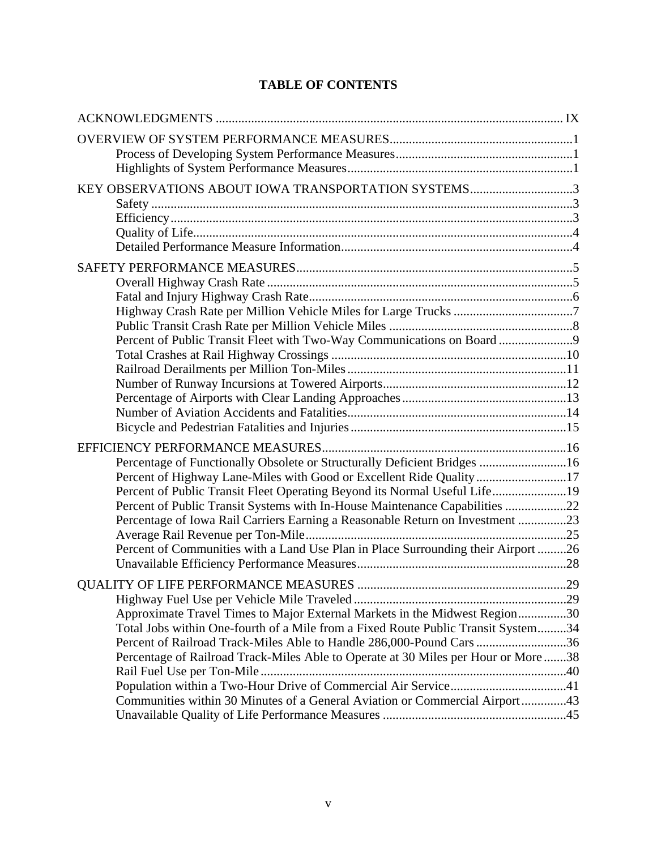## **TABLE OF CONTENTS**

| KEY OBSERVATIONS ABOUT IOWA TRANSPORTATION SYSTEMS3                                                                                                                                                                                                                                                                                                                                                                                                                                |  |
|------------------------------------------------------------------------------------------------------------------------------------------------------------------------------------------------------------------------------------------------------------------------------------------------------------------------------------------------------------------------------------------------------------------------------------------------------------------------------------|--|
| Percent of Public Transit Fleet with Two-Way Communications on Board 9                                                                                                                                                                                                                                                                                                                                                                                                             |  |
| Percentage of Functionally Obsolete or Structurally Deficient Bridges 16<br>Percent of Highway Lane-Miles with Good or Excellent Ride Quality 17<br>Percent of Public Transit Fleet Operating Beyond its Normal Useful Life19<br>Percent of Public Transit Systems with In-House Maintenance Capabilities 22<br>Percentage of Iowa Rail Carriers Earning a Reasonable Return on Investment 23<br>Percent of Communities with a Land Use Plan in Place Surrounding their Airport 26 |  |
| Approximate Travel Times to Major External Markets in the Midwest Region30<br>Total Jobs within One-fourth of a Mile from a Fixed Route Public Transit System34<br>Percent of Railroad Track-Miles Able to Handle 286,000-Pound Cars 36<br>Percentage of Railroad Track-Miles Able to Operate at 30 Miles per Hour or More 38<br>Population within a Two-Hour Drive of Commercial Air Service41<br>Communities within 30 Minutes of a General Aviation or Commercial Airport43     |  |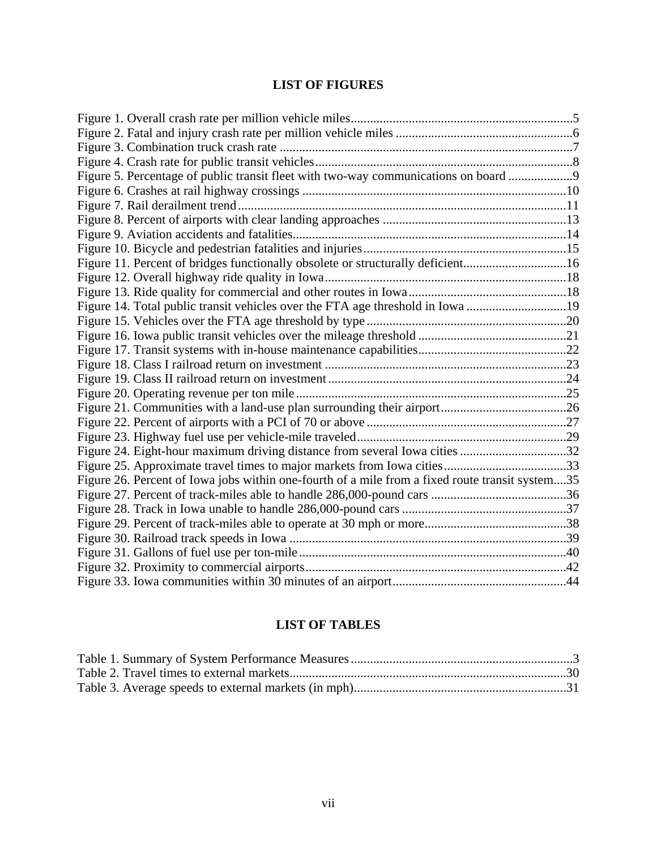## **LIST OF FIGURES**

| Figure 5. Percentage of public transit fleet with two-way communications on board 9             |  |
|-------------------------------------------------------------------------------------------------|--|
|                                                                                                 |  |
|                                                                                                 |  |
|                                                                                                 |  |
|                                                                                                 |  |
|                                                                                                 |  |
| Figure 11. Percent of bridges functionally obsolete or structurally deficient16                 |  |
|                                                                                                 |  |
|                                                                                                 |  |
| Figure 14. Total public transit vehicles over the FTA age threshold in Iowa 19                  |  |
|                                                                                                 |  |
|                                                                                                 |  |
|                                                                                                 |  |
|                                                                                                 |  |
|                                                                                                 |  |
|                                                                                                 |  |
|                                                                                                 |  |
|                                                                                                 |  |
|                                                                                                 |  |
| Figure 24. Eight-hour maximum driving distance from several Iowa cities 32                      |  |
|                                                                                                 |  |
| Figure 26. Percent of Iowa jobs within one-fourth of a mile from a fixed route transit system35 |  |
|                                                                                                 |  |
|                                                                                                 |  |
|                                                                                                 |  |
|                                                                                                 |  |
|                                                                                                 |  |
|                                                                                                 |  |
|                                                                                                 |  |

## **LIST OF TABLES**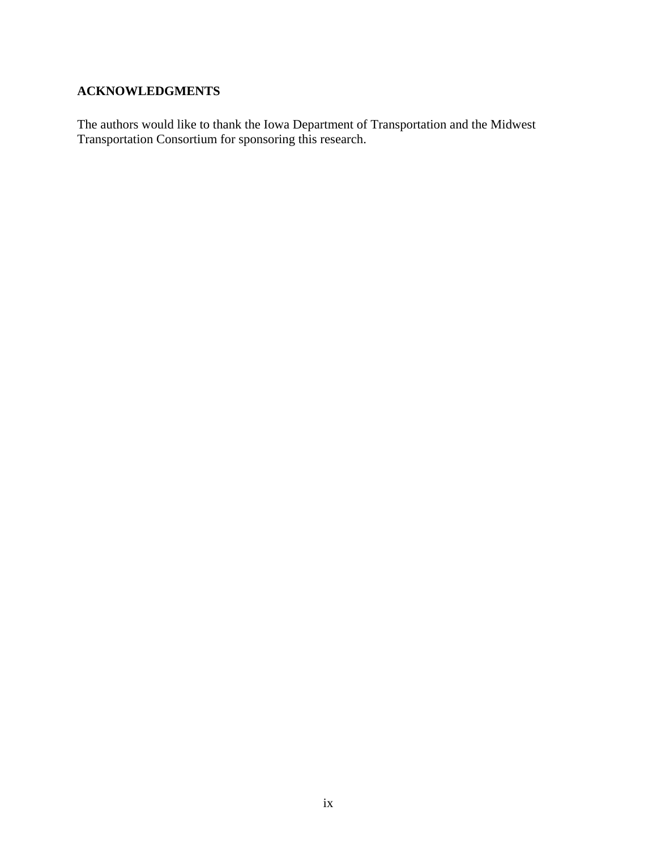## <span id="page-6-0"></span>**ACKNOWLEDGMENTS**

The authors would like to thank the Iowa Department of Transportation and the Midwest Transportation Consortium for sponsoring this research.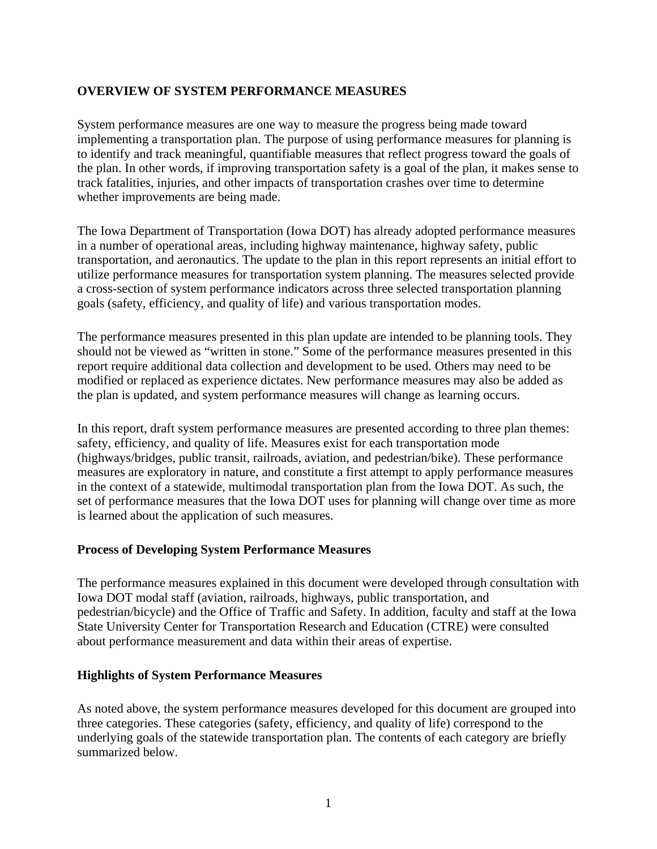## <span id="page-7-0"></span>**OVERVIEW OF SYSTEM PERFORMANCE MEASURES**

System performance measures are one way to measure the progress being made toward implementing a transportation plan. The purpose of using performance measures for planning is to identify and track meaningful, quantifiable measures that reflect progress toward the goals of the plan. In other words, if improving transportation safety is a goal of the plan, it makes sense to track fatalities, injuries, and other impacts of transportation crashes over time to determine whether improvements are being made.

The Iowa Department of Transportation (Iowa DOT) has already adopted performance measures in a number of operational areas, including highway maintenance, highway safety, public transportation, and aeronautics. The update to the plan in this report represents an initial effort to utilize performance measures for transportation system planning. The measures selected provide a cross-section of system performance indicators across three selected transportation planning goals (safety, efficiency, and quality of life) and various transportation modes.

The performance measures presented in this plan update are intended to be planning tools. They should not be viewed as "written in stone." Some of the performance measures presented in this report require additional data collection and development to be used. Others may need to be modified or replaced as experience dictates. New performance measures may also be added as the plan is updated, and system performance measures will change as learning occurs.

In this report, draft system performance measures are presented according to three plan themes: safety, efficiency, and quality of life. Measures exist for each transportation mode (highways/bridges, public transit, railroads, aviation, and pedestrian/bike). These performance measures are exploratory in nature, and constitute a first attempt to apply performance measures in the context of a statewide, multimodal transportation plan from the Iowa DOT. As such, the set of performance measures that the Iowa DOT uses for planning will change over time as more is learned about the application of such measures.

## **Process of Developing System Performance Measures**

The performance measures explained in this document were developed through consultation with Iowa DOT modal staff (aviation, railroads, highways, public transportation, and pedestrian/bicycle) and the Office of Traffic and Safety. In addition, faculty and staff at the Iowa State University Center for Transportation Research and Education (CTRE) were consulted about performance measurement and data within their areas of expertise.

## **Highlights of System Performance Measures**

As noted above, the system performance measures developed for this document are grouped into three categories. These categories (safety, efficiency, and quality of life) correspond to the underlying goals of the statewide transportation plan. The contents of each category are briefly summarized below.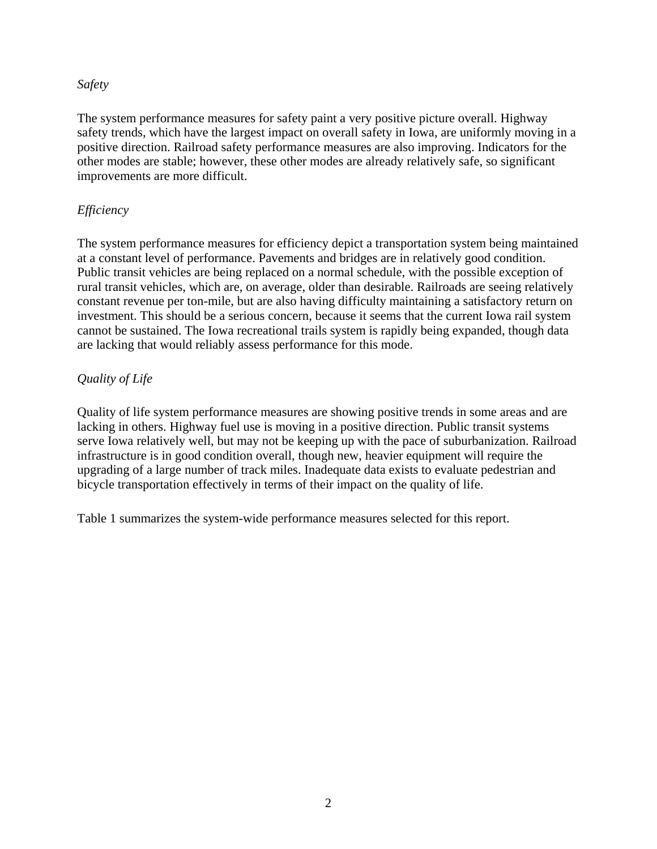## *Safety*

The system performance measures for safety paint a very positive picture overall. Highway safety trends, which have the largest impact on overall safety in Iowa, are uniformly moving in a positive direction. Railroad safety performance measures are also improving. Indicators for the other modes are stable; however, these other modes are already relatively safe, so significant improvements are more difficult.

## *Efficiency*

The system performance measures for efficiency depict a transportation system being maintained at a constant level of performance. Pavements and bridges are in relatively good condition. Public transit vehicles are being replaced on a normal schedule, with the possible exception of rural transit vehicles, which are, on average, older than desirable. Railroads are seeing relatively constant revenue per ton-mile, but are also having difficulty maintaining a satisfactory return on investment. This should be a serious concern, because it seems that the current Iowa rail system cannot be sustained. The Iowa recreational trails system is rapidly being expanded, though data are lacking that would reliably assess performance for this mode.

## *Quality of Life*

Quality of life system performance measures are showing positive trends in some areas and are lacking in others. Highway fuel use is moving in a positive direction. Public transit systems serve Iowa relatively well, but may not be keeping up with the pace of suburbanization. Railroad infrastructure is in good condition overall, though new, heavier equipment will require the upgrading of a large number of track miles. Inadequate data exists to evaluate pedestrian and bicycle transportation effectively in terms of their impact on the quality of life.

Table 1 summarizes the system-wide performance measures selected for this report.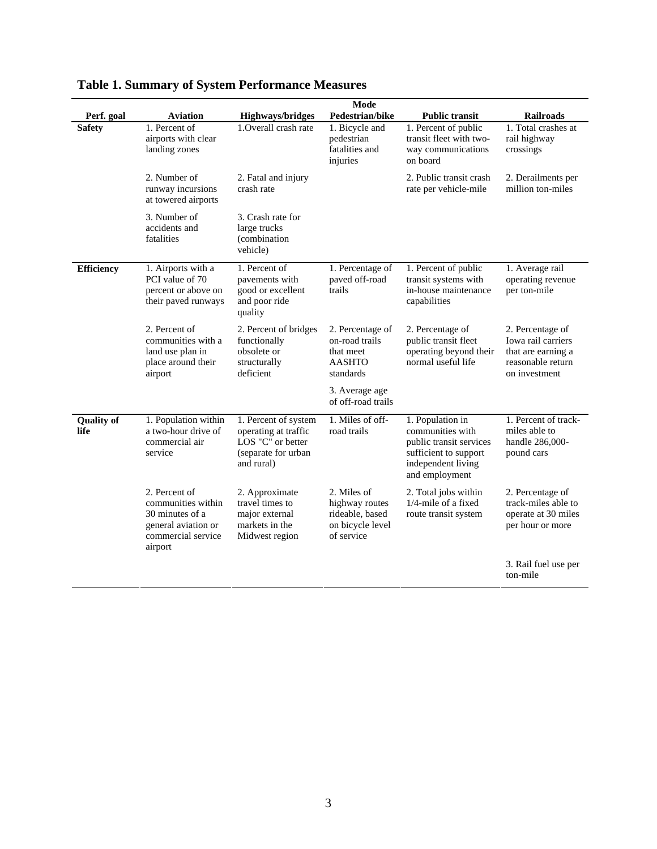| Perf. goal                | Mode<br><b>Highways/bridges</b><br>Pedestrian/bike<br><b>Public transit</b><br><b>Railroads</b><br><b>Aviation</b> |                                                                                                        |                                                                                    |                                                                                                                                  |                                                                                                    |  |
|---------------------------|--------------------------------------------------------------------------------------------------------------------|--------------------------------------------------------------------------------------------------------|------------------------------------------------------------------------------------|----------------------------------------------------------------------------------------------------------------------------------|----------------------------------------------------------------------------------------------------|--|
| <b>Safety</b>             | 1. Percent of<br>airports with clear<br>landing zones                                                              | 1. Overall crash rate                                                                                  | 1. Bicycle and<br>pedestrian<br>fatalities and<br>injuries                         | 1. Percent of public<br>transit fleet with two-<br>way communications<br>on board                                                | 1. Total crashes at<br>rail highway<br>crossings                                                   |  |
|                           | 2. Number of<br>runway incursions<br>at towered airports                                                           | 2. Fatal and injury<br>crash rate                                                                      |                                                                                    | 2. Public transit crash<br>rate per vehicle-mile                                                                                 | 2. Derailments per<br>million ton-miles                                                            |  |
|                           | 3. Number of<br>accidents and<br>fatalities                                                                        | 3. Crash rate for<br>large trucks<br>(combination<br>vehicle)                                          |                                                                                    |                                                                                                                                  |                                                                                                    |  |
| Efficiency                | 1. Airports with a<br>PCI value of 70<br>percent or above on<br>their paved runways                                | 1. Percent of<br>pavements with<br>good or excellent<br>and poor ride<br>quality                       | 1. Percentage of<br>paved off-road<br>trails                                       | 1. Percent of public<br>transit systems with<br>in-house maintenance<br>capabilities                                             | 1. Average rail<br>operating revenue<br>per ton-mile                                               |  |
|                           | 2. Percent of<br>communities with a<br>land use plan in<br>place around their<br>airport                           | 2. Percent of bridges<br>functionally<br>obsolete or<br>structurally<br>deficient                      | 2. Percentage of<br>on-road trails<br>that meet<br><b>AASHTO</b><br>standards      | 2. Percentage of<br>public transit fleet<br>operating beyond their<br>normal useful life                                         | 2. Percentage of<br>Iowa rail carriers<br>that are earning a<br>reasonable return<br>on investment |  |
|                           |                                                                                                                    |                                                                                                        | 3. Average age<br>of off-road trails                                               |                                                                                                                                  |                                                                                                    |  |
| <b>Quality of</b><br>life | 1. Population within<br>a two-hour drive of<br>commercial air<br>service                                           | 1. Percent of system<br>operating at traffic<br>LOS "C" or better<br>(separate for urban<br>and rural) | 1. Miles of off-<br>road trails                                                    | 1. Population in<br>communities with<br>public transit services<br>sufficient to support<br>independent living<br>and employment | 1. Percent of track-<br>miles able to<br>handle 286,000-<br>pound cars                             |  |
|                           | 2. Percent of<br>communities within<br>30 minutes of a<br>general aviation or<br>commercial service<br>airport     | 2. Approximate<br>travel times to<br>major external<br>markets in the<br>Midwest region                | 2. Miles of<br>highway routes<br>rideable, based<br>on bicycle level<br>of service | 2. Total jobs within<br>$1/4$ -mile of a fixed<br>route transit system                                                           | 2. Percentage of<br>track-miles able to<br>operate at 30 miles<br>per hour or more                 |  |
|                           |                                                                                                                    |                                                                                                        |                                                                                    |                                                                                                                                  | 3. Rail fuel use per<br>ton-mile                                                                   |  |

<span id="page-9-0"></span>**Table 1. Summary of System Performance Measures**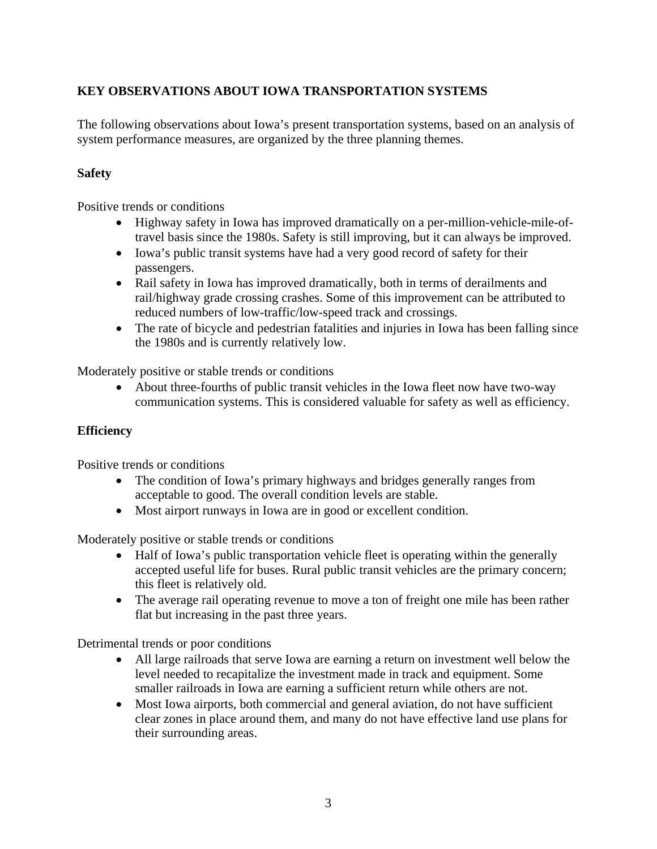## <span id="page-10-0"></span>**KEY OBSERVATIONS ABOUT IOWA TRANSPORTATION SYSTEMS**

The following observations about Iowa's present transportation systems, based on an analysis of system performance measures, are organized by the three planning themes.

## **Safety**

Positive trends or conditions

- Highway safety in Iowa has improved dramatically on a per-million-vehicle-mile-oftravel basis since the 1980s. Safety is still improving, but it can always be improved.
- Iowa's public transit systems have had a very good record of safety for their passengers.
- Rail safety in Iowa has improved dramatically, both in terms of derailments and rail/highway grade crossing crashes. Some of this improvement can be attributed to reduced numbers of low-traffic/low-speed track and crossings.
- The rate of bicycle and pedestrian fatalities and injuries in Iowa has been falling since the 1980s and is currently relatively low.

Moderately positive or stable trends or conditions

• About three-fourths of public transit vehicles in the Iowa fleet now have two-way communication systems. This is considered valuable for safety as well as efficiency.

## **Efficiency**

Positive trends or conditions

- The condition of Iowa's primary highways and bridges generally ranges from acceptable to good. The overall condition levels are stable.
- Most airport runways in Iowa are in good or excellent condition.

Moderately positive or stable trends or conditions

- Half of Iowa's public transportation vehicle fleet is operating within the generally accepted useful life for buses. Rural public transit vehicles are the primary concern; this fleet is relatively old.
- The average rail operating revenue to move a ton of freight one mile has been rather flat but increasing in the past three years.

Detrimental trends or poor conditions

- All large railroads that serve Iowa are earning a return on investment well below the level needed to recapitalize the investment made in track and equipment. Some smaller railroads in Iowa are earning a sufficient return while others are not.
- Most Iowa airports, both commercial and general aviation, do not have sufficient clear zones in place around them, and many do not have effective land use plans for their surrounding areas.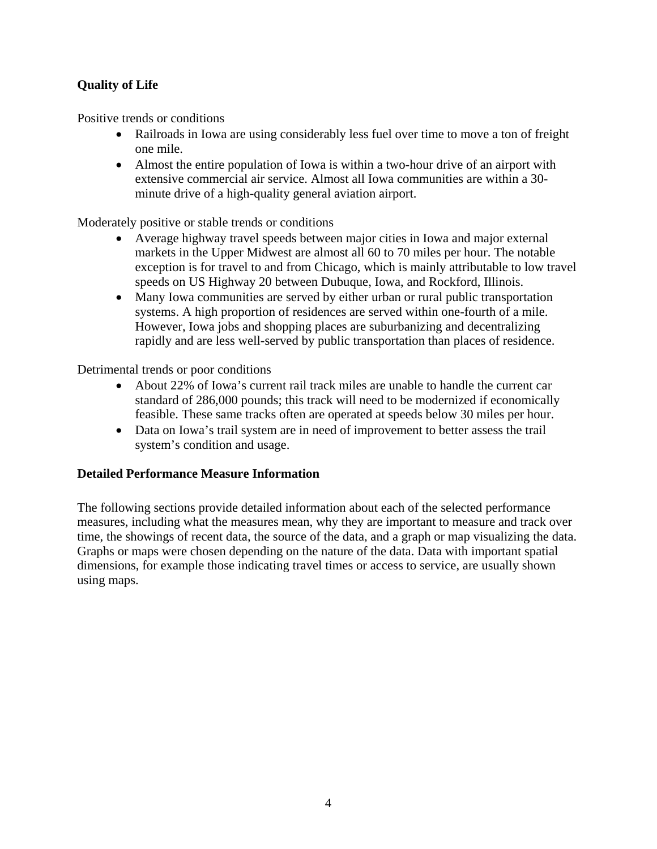## <span id="page-11-0"></span>**Quality of Life**

Positive trends or conditions

- Railroads in Iowa are using considerably less fuel over time to move a ton of freight one mile.
- Almost the entire population of Iowa is within a two-hour drive of an airport with extensive commercial air service. Almost all Iowa communities are within a 30 minute drive of a high-quality general aviation airport.

Moderately positive or stable trends or conditions

- Average highway travel speeds between major cities in Iowa and major external markets in the Upper Midwest are almost all 60 to 70 miles per hour. The notable exception is for travel to and from Chicago, which is mainly attributable to low travel speeds on US Highway 20 between Dubuque, Iowa, and Rockford, Illinois.
- Many Iowa communities are served by either urban or rural public transportation systems. A high proportion of residences are served within one-fourth of a mile. However, Iowa jobs and shopping places are suburbanizing and decentralizing rapidly and are less well-served by public transportation than places of residence.

Detrimental trends or poor conditions

- About 22% of Iowa's current rail track miles are unable to handle the current car standard of 286,000 pounds; this track will need to be modernized if economically feasible. These same tracks often are operated at speeds below 30 miles per hour.
- Data on Iowa's trail system are in need of improvement to better assess the trail system's condition and usage.

## **Detailed Performance Measure Information**

The following sections provide detailed information about each of the selected performance measures, including what the measures mean, why they are important to measure and track over time, the showings of recent data, the source of the data, and a graph or map visualizing the data. Graphs or maps were chosen depending on the nature of the data. Data with important spatial dimensions, for example those indicating travel times or access to service, are usually shown using maps.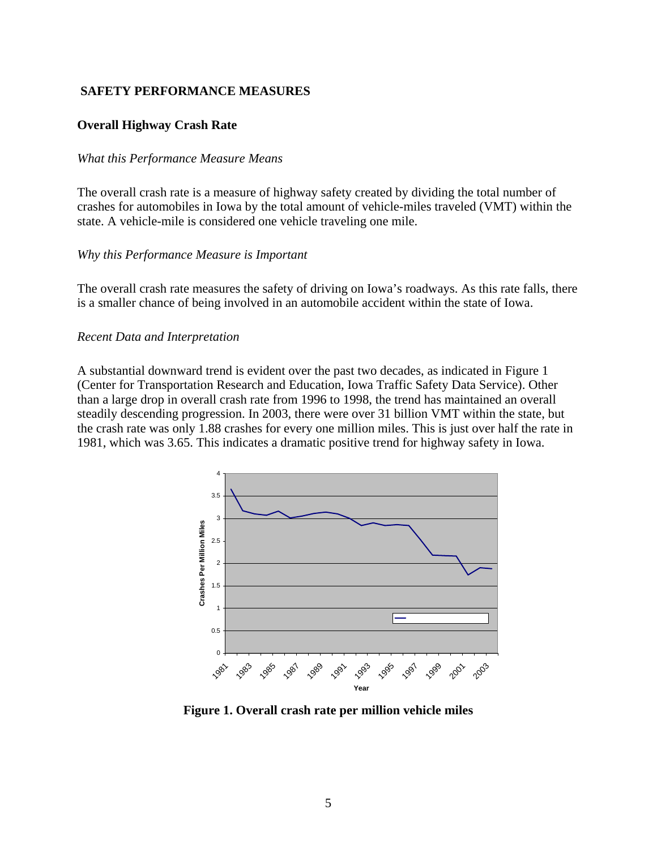## <span id="page-12-0"></span> **SAFETY PERFORMANCE MEASURES**

#### **Overall Highway Crash Rate**

#### *What this Performance Measure Means*

The overall crash rate is a measure of highway safety created by dividing the total number of crashes for automobiles in Iowa by the total amount of vehicle-miles traveled (VMT) within the state. A vehicle-mile is considered one vehicle traveling one mile.

#### *Why this Performance Measure is Important*

The overall crash rate measures the safety of driving on Iowa's roadways. As this rate falls, there is a smaller chance of being involved in an automobile accident within the state of Iowa.

#### *Recent Data and Interpretation*

A substantial downward trend is evident over the past two decades, as indicated in Figure 1 (Center for Transportation Research and Education, Iowa Traffic Safety Data Service). Other than a large drop in overall crash rate from 1996 to 1998, the trend has maintained an overall steadily descending progression. In 2003, there were over 31 billion VMT within the state, but the crash rate was only 1.88 crashes for every one million miles. This is just over half the rate in 1981, which was 3.65. This indicates a dramatic positive trend for highway safety in Iowa.



**Figure 1. Overall crash rate per million vehicle miles**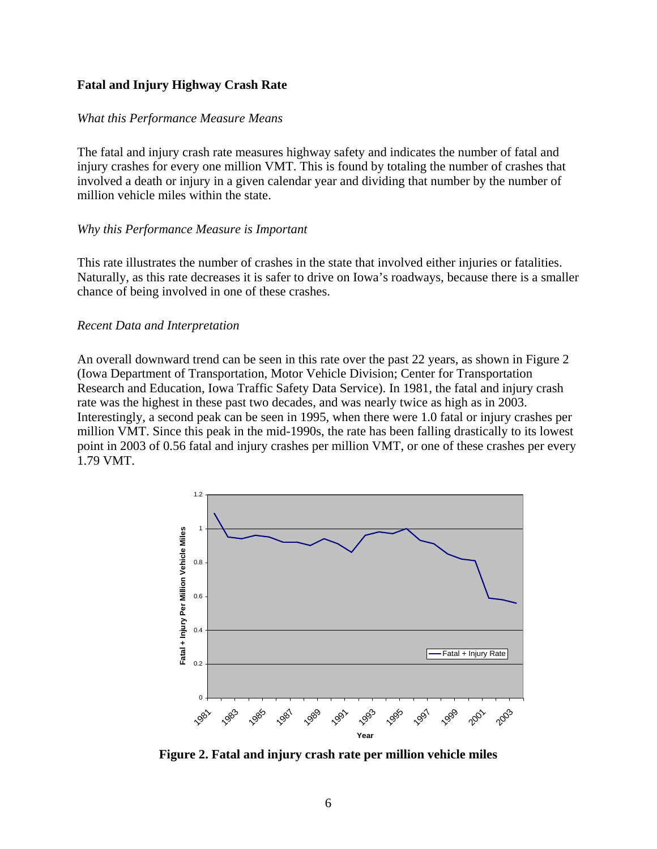## <span id="page-13-0"></span>**Fatal and Injury Highway Crash Rate**

#### *What this Performance Measure Means*

The fatal and injury crash rate measures highway safety and indicates the number of fatal and injury crashes for every one million VMT. This is found by totaling the number of crashes that involved a death or injury in a given calendar year and dividing that number by the number of million vehicle miles within the state.

#### *Why this Performance Measure is Important*

This rate illustrates the number of crashes in the state that involved either injuries or fatalities. Naturally, as this rate decreases it is safer to drive on Iowa's roadways, because there is a smaller chance of being involved in one of these crashes.

#### *Recent Data and Interpretation*

An overall downward trend can be seen in this rate over the past 22 years, as shown in Figure 2 (Iowa Department of Transportation, Motor Vehicle Division; Center for Transportation Research and Education, Iowa Traffic Safety Data Service). In 1981, the fatal and injury crash rate was the highest in these past two decades, and was nearly twice as high as in 2003. Interestingly, a second peak can be seen in 1995, when there were 1.0 fatal or injury crashes per million VMT. Since this peak in the mid-1990s, the rate has been falling drastically to its lowest point in 2003 of 0.56 fatal and injury crashes per million VMT, or one of these crashes per every 1.79 VMT.



**Figure 2. Fatal and injury crash rate per million vehicle miles**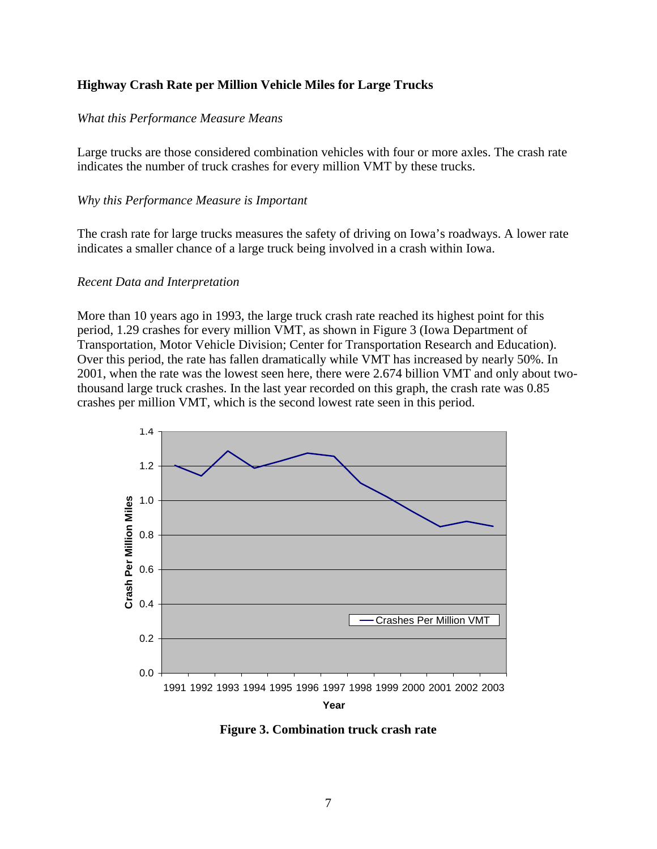## <span id="page-14-0"></span>**Highway Crash Rate per Million Vehicle Miles for Large Trucks**

## *What this Performance Measure Means*

Large trucks are those considered combination vehicles with four or more axles. The crash rate indicates the number of truck crashes for every million VMT by these trucks.

## *Why this Performance Measure is Important*

The crash rate for large trucks measures the safety of driving on Iowa's roadways. A lower rate indicates a smaller chance of a large truck being involved in a crash within Iowa.

#### *Recent Data and Interpretation*

More than 10 years ago in 1993, the large truck crash rate reached its highest point for this period, 1.29 crashes for every million VMT, as shown in Figure 3 (Iowa Department of Transportation, Motor Vehicle Division; Center for Transportation Research and Education). Over this period, the rate has fallen dramatically while VMT has increased by nearly 50%. In 2001, when the rate was the lowest seen here, there were 2.674 billion VMT and only about twothousand large truck crashes. In the last year recorded on this graph, the crash rate was 0.85 crashes per million VMT, which is the second lowest rate seen in this period.



**Figure 3. Combination truck crash rate**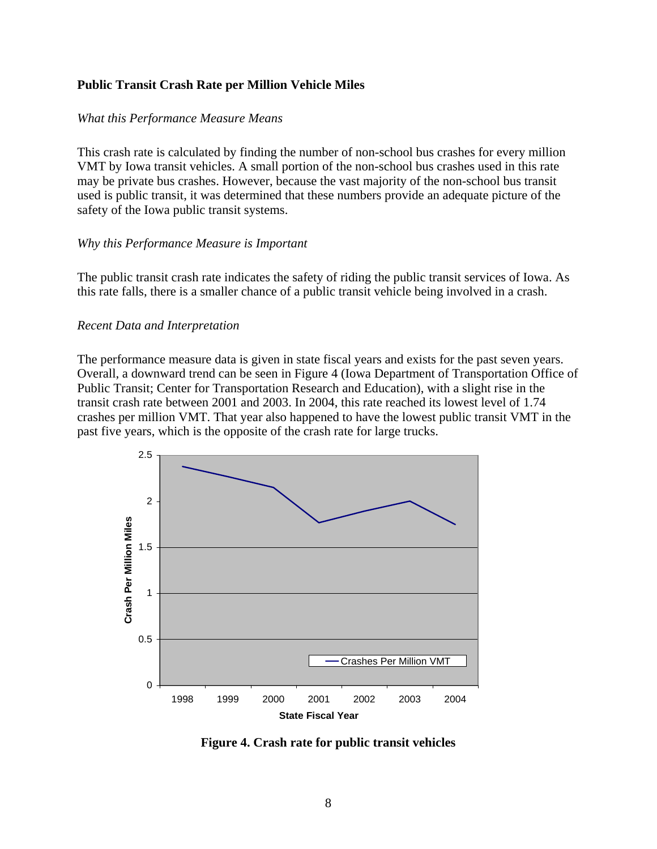## <span id="page-15-0"></span>**Public Transit Crash Rate per Million Vehicle Miles**

#### *What this Performance Measure Means*

This crash rate is calculated by finding the number of non-school bus crashes for every million VMT by Iowa transit vehicles. A small portion of the non-school bus crashes used in this rate may be private bus crashes. However, because the vast majority of the non-school bus transit used is public transit, it was determined that these numbers provide an adequate picture of the safety of the Iowa public transit systems.

#### *Why this Performance Measure is Important*

The public transit crash rate indicates the safety of riding the public transit services of Iowa. As this rate falls, there is a smaller chance of a public transit vehicle being involved in a crash.

#### *Recent Data and Interpretation*

The performance measure data is given in state fiscal years and exists for the past seven years. Overall, a downward trend can be seen in Figure 4 (Iowa Department of Transportation Office of Public Transit; Center for Transportation Research and Education), with a slight rise in the transit crash rate between 2001 and 2003. In 2004, this rate reached its lowest level of 1.74 crashes per million VMT. That year also happened to have the lowest public transit VMT in the past five years, which is the opposite of the crash rate for large trucks.



**Figure 4. Crash rate for public transit vehicles**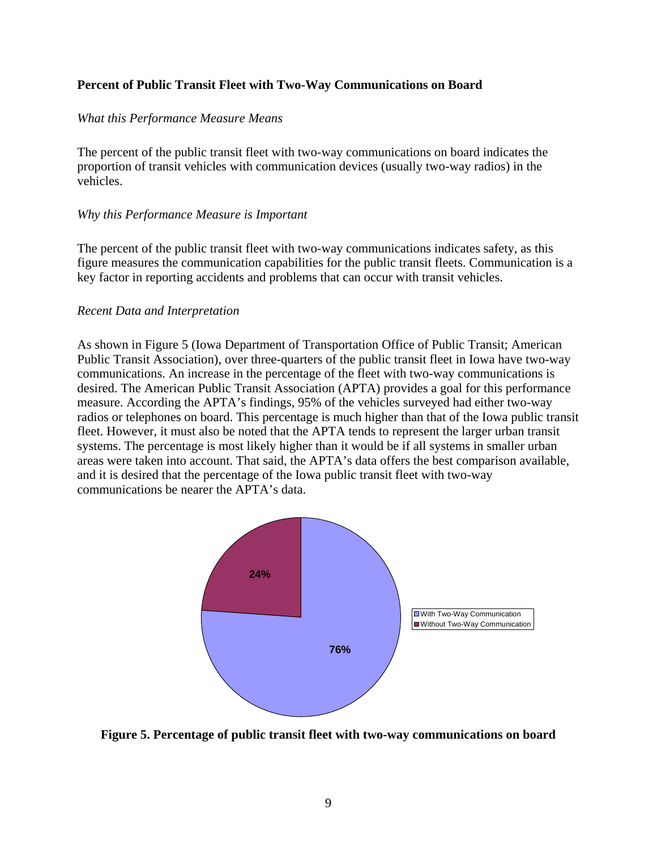## <span id="page-16-0"></span>**Percent of Public Transit Fleet with Two-Way Communications on Board**

## *What this Performance Measure Means*

The percent of the public transit fleet with two-way communications on board indicates the proportion of transit vehicles with communication devices (usually two-way radios) in the vehicles.

## *Why this Performance Measure is Important*

The percent of the public transit fleet with two-way communications indicates safety, as this figure measures the communication capabilities for the public transit fleets. Communication is a key factor in reporting accidents and problems that can occur with transit vehicles.

## *Recent Data and Interpretation*

As shown in Figure 5 (Iowa Department of Transportation Office of Public Transit; American Public Transit Association), over three-quarters of the public transit fleet in Iowa have two-way communications. An increase in the percentage of the fleet with two-way communications is desired. The American Public Transit Association (APTA) provides a goal for this performance measure. According the APTA's findings, 95% of the vehicles surveyed had either two-way radios or telephones on board. This percentage is much higher than that of the Iowa public transit fleet. However, it must also be noted that the APTA tends to represent the larger urban transit systems. The percentage is most likely higher than it would be if all systems in smaller urban areas were taken into account. That said, the APTA's data offers the best comparison available, and it is desired that the percentage of the Iowa public transit fleet with two-way communications be nearer the APTA's data.



**Figure 5. Percentage of public transit fleet with two-way communications on board**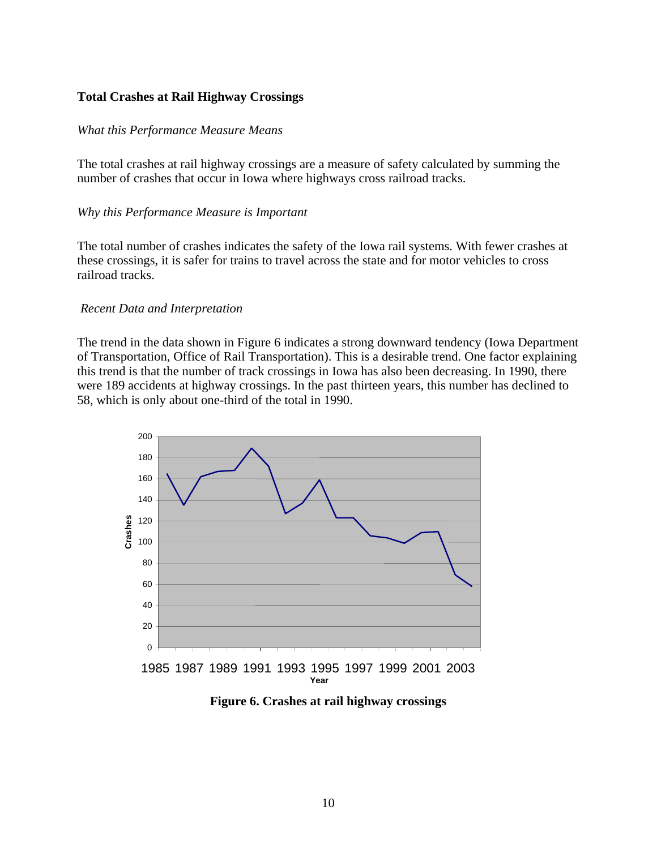## <span id="page-17-0"></span>**Total Crashes at Rail Highway Crossings**

#### *What this Performance Measure Means*

The total crashes at rail highway crossings are a measure of safety calculated by summing the number of crashes that occur in Iowa where highways cross railroad tracks.

#### *Why this Performance Measure is Important*

The total number of crashes indicates the safety of the Iowa rail systems. With fewer crashes at these crossings, it is safer for trains to travel across the state and for motor vehicles to cross railroad tracks.

#### *Recent Data and Interpretation*

The trend in the data shown in Figure 6 indicates a strong downward tendency (Iowa Department of Transportation, Office of Rail Transportation). This is a desirable trend. One factor explaining this trend is that the number of track crossings in Iowa has also been decreasing. In 1990, there were 189 accidents at highway crossings. In the past thirteen years, this number has declined to 58, which is only about one-third of the total in 1990.



**Figure 6. Crashes at rail highway crossings**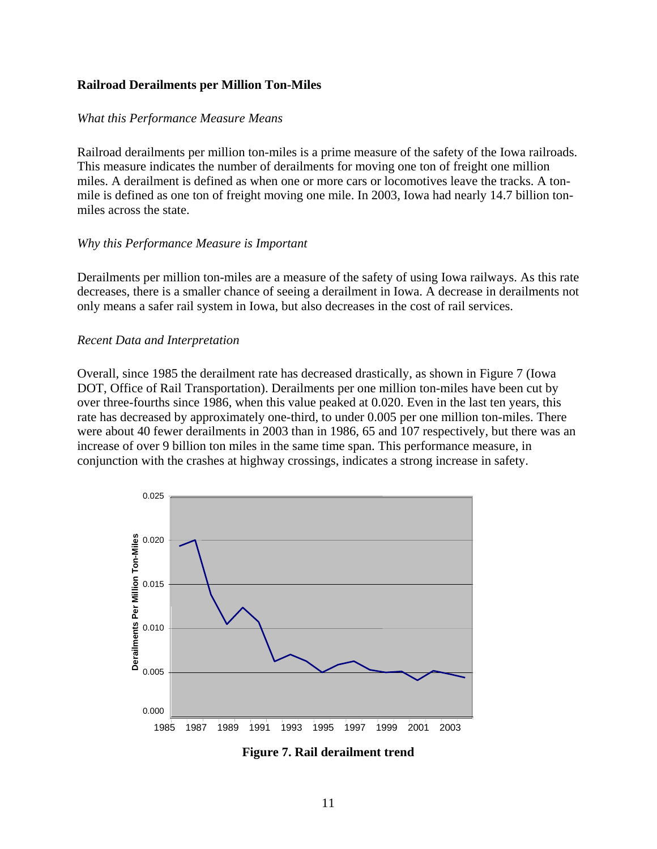## <span id="page-18-0"></span>**Railroad Derailments per Million Ton-Miles**

## *What this Performance Measure Means*

Railroad derailments per million ton-miles is a prime measure of the safety of the Iowa railroads. This measure indicates the number of derailments for moving one ton of freight one million miles. A derailment is defined as when one or more cars or locomotives leave the tracks. A tonmile is defined as one ton of freight moving one mile. In 2003, Iowa had nearly 14.7 billion tonmiles across the state.

## *Why this Performance Measure is Important*

Derailments per million ton-miles are a measure of the safety of using Iowa railways. As this rate decreases, there is a smaller chance of seeing a derailment in Iowa. A decrease in derailments not only means a safer rail system in Iowa, but also decreases in the cost of rail services.

## *Recent Data and Interpretation*

Overall, since 1985 the derailment rate has decreased drastically, as shown in Figure 7 (Iowa DOT, Office of Rail Transportation). Derailments per one million ton-miles have been cut by over three-fourths since 1986, when this value peaked at 0.020. Even in the last ten years, this rate has decreased by approximately one-third, to under 0.005 per one million ton-miles. There were about 40 fewer derailments in 2003 than in 1986, 65 and 107 respectively, but there was an increase of over 9 billion ton miles in the same time span. This performance measure, in conjunction with the crashes at highway crossings, indicates a strong increase in safety.



**Figure 7. Rail derailment trend**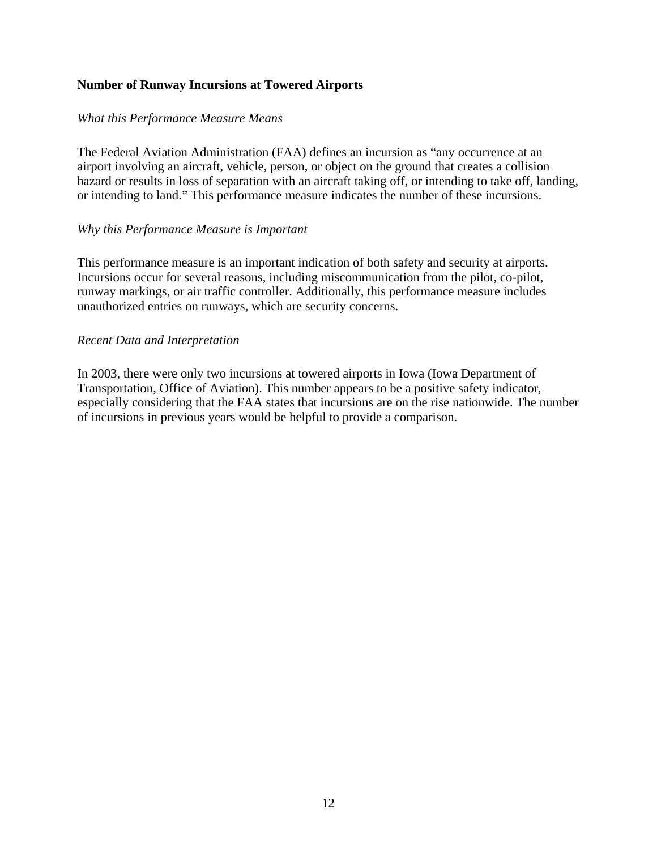## <span id="page-19-0"></span>**Number of Runway Incursions at Towered Airports**

## *What this Performance Measure Means*

The Federal Aviation Administration (FAA) defines an incursion as "any occurrence at an airport involving an aircraft, vehicle, person, or object on the ground that creates a collision hazard or results in loss of separation with an aircraft taking off, or intending to take off, landing, or intending to land." This performance measure indicates the number of these incursions.

## *Why this Performance Measure is Important*

This performance measure is an important indication of both safety and security at airports. Incursions occur for several reasons, including miscommunication from the pilot, co-pilot, runway markings, or air traffic controller. Additionally, this performance measure includes unauthorized entries on runways, which are security concerns.

## *Recent Data and Interpretation*

In 2003, there were only two incursions at towered airports in Iowa (Iowa Department of Transportation, Office of Aviation). This number appears to be a positive safety indicator, especially considering that the FAA states that incursions are on the rise nationwide. The number of incursions in previous years would be helpful to provide a comparison.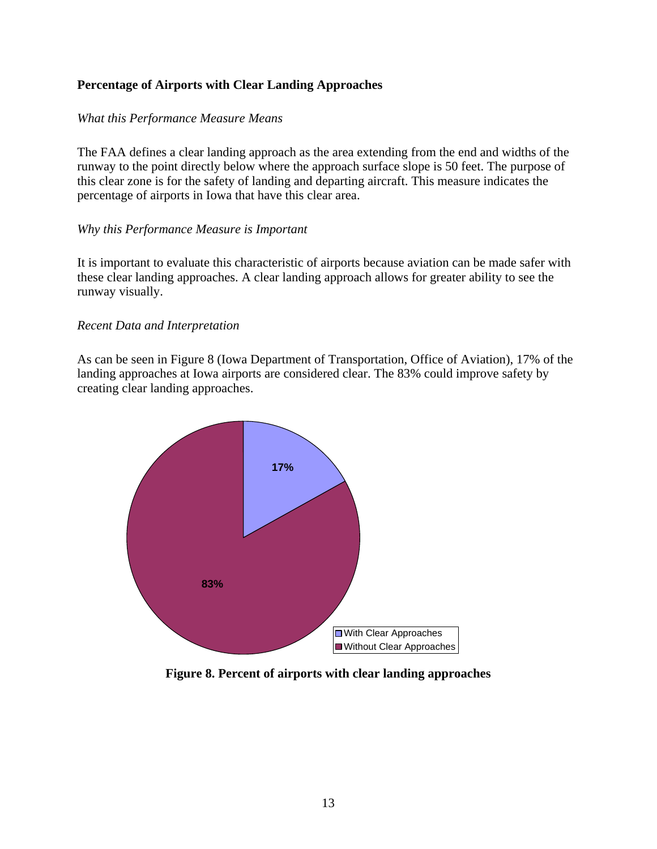## <span id="page-20-0"></span>**Percentage of Airports with Clear Landing Approaches**

## *What this Performance Measure Means*

The FAA defines a clear landing approach as the area extending from the end and widths of the runway to the point directly below where the approach surface slope is 50 feet. The purpose of this clear zone is for the safety of landing and departing aircraft. This measure indicates the percentage of airports in Iowa that have this clear area.

## *Why this Performance Measure is Important*

It is important to evaluate this characteristic of airports because aviation can be made safer with these clear landing approaches. A clear landing approach allows for greater ability to see the runway visually.

#### *Recent Data and Interpretation*

As can be seen in Figure 8 (Iowa Department of Transportation, Office of Aviation), 17% of the landing approaches at Iowa airports are considered clear. The 83% could improve safety by creating clear landing approaches.



**Figure 8. Percent of airports with clear landing approaches**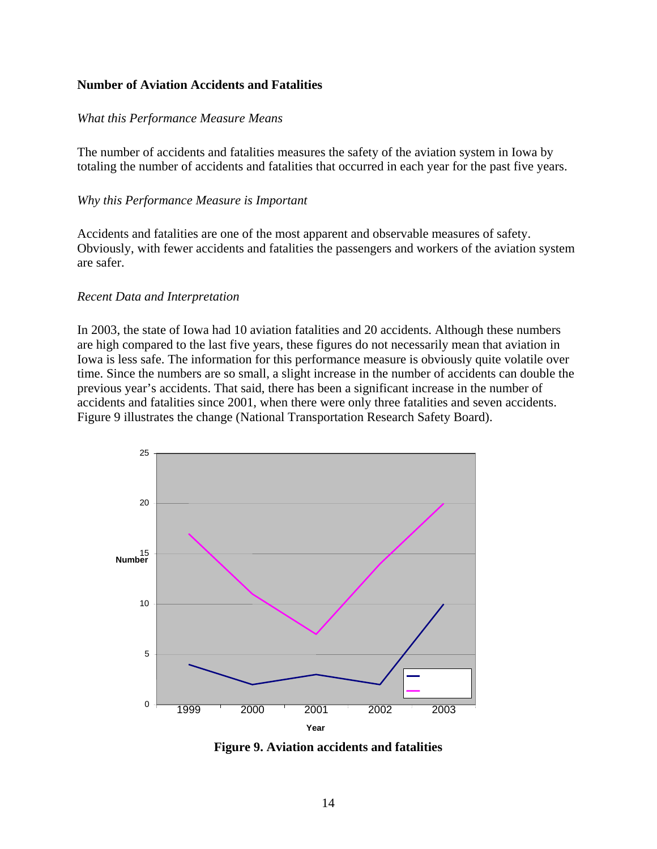## <span id="page-21-0"></span>**Number of Aviation Accidents and Fatalities**

## *What this Performance Measure Means*

The number of accidents and fatalities measures the safety of the aviation system in Iowa by totaling the number of accidents and fatalities that occurred in each year for the past five years.

## *Why this Performance Measure is Important*

Accidents and fatalities are one of the most apparent and observable measures of safety. Obviously, with fewer accidents and fatalities the passengers and workers of the aviation system are safer.

## *Recent Data and Interpretation*

In 2003, the state of Iowa had 10 aviation fatalities and 20 accidents. Although these numbers are high compared to the last five years, these figures do not necessarily mean that aviation in Iowa is less safe. The information for this performance measure is obviously quite volatile over time. Since the numbers are so small, a slight increase in the number of accidents can double the previous year's accidents. That said, there has been a significant increase in the number of accidents and fatalities since 2001, when there were only three fatalities and seven accidents. Figure 9 illustrates the change (National Transportation Research Safety Board).



**Figure 9. Aviation accidents and fatalities**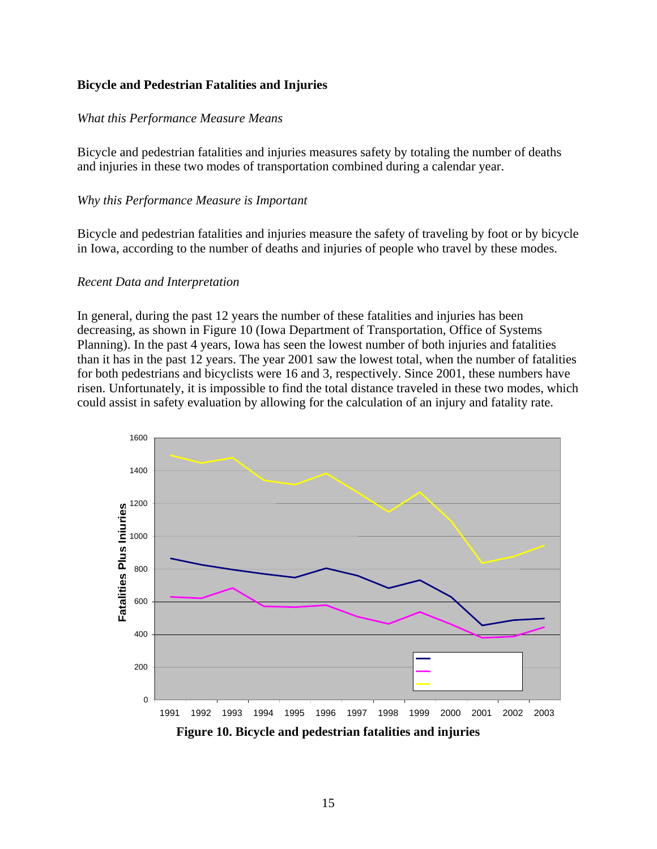## <span id="page-22-0"></span>**Bicycle and Pedestrian Fatalities and Injuries**

## *What this Performance Measure Means*

Bicycle and pedestrian fatalities and injuries measures safety by totaling the number of deaths and injuries in these two modes of transportation combined during a calendar year.

## *Why this Performance Measure is Important*

Bicycle and pedestrian fatalities and injuries measure the safety of traveling by foot or by bicycle in Iowa, according to the number of deaths and injuries of people who travel by these modes.

#### *Recent Data and Interpretation*

In general, during the past 12 years the number of these fatalities and injuries has been decreasing, as shown in Figure 10 (Iowa Department of Transportation, Office of Systems Planning). In the past 4 years, Iowa has seen the lowest number of both injuries and fatalities than it has in the past 12 years. The year 2001 saw the lowest total, when the number of fatalities for both pedestrians and bicyclists were 16 and 3, respectively. Since 2001, these numbers have risen. Unfortunately, it is impossible to find the total distance traveled in these two modes, which could assist in safety evaluation by allowing for the calculation of an injury and fatality rate.



**Figure 10. Bicycle and pedestrian fatalities and injuries**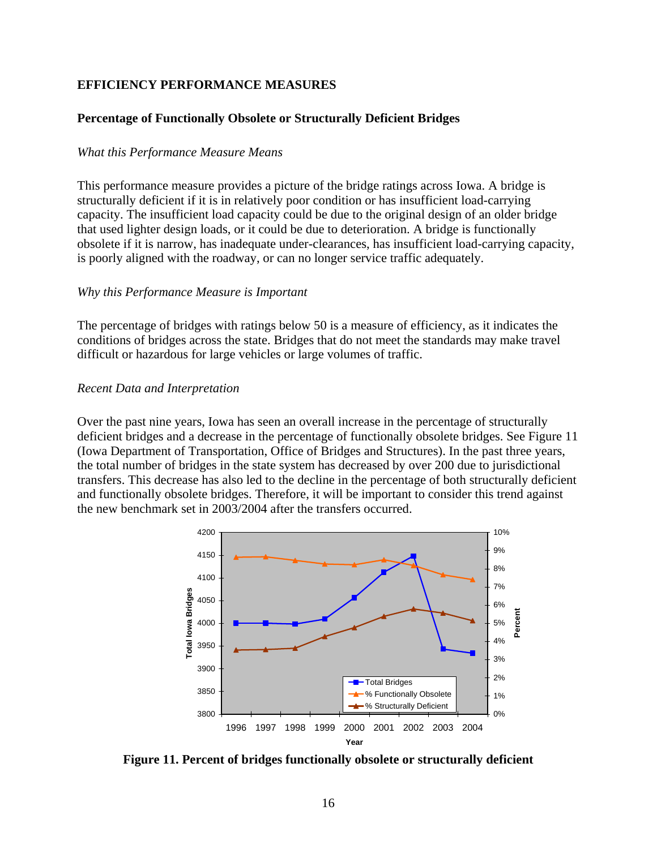## <span id="page-23-0"></span>**EFFICIENCY PERFORMANCE MEASURES**

## **Percentage of Functionally Obsolete or Structurally Deficient Bridges**

#### *What this Performance Measure Means*

This performance measure provides a picture of the bridge ratings across Iowa. A bridge is structurally deficient if it is in relatively poor condition or has insufficient load-carrying capacity. The insufficient load capacity could be due to the original design of an older bridge that used lighter design loads, or it could be due to deterioration. A bridge is functionally obsolete if it is narrow, has inadequate under-clearances, has insufficient load-carrying capacity, is poorly aligned with the roadway, or can no longer service traffic adequately.

## *Why this Performance Measure is Important*

The percentage of bridges with ratings below 50 is a measure of efficiency, as it indicates the conditions of bridges across the state. Bridges that do not meet the standards may make travel difficult or hazardous for large vehicles or large volumes of traffic.

#### *Recent Data and Interpretation*

Over the past nine years, Iowa has seen an overall increase in the percentage of structurally deficient bridges and a decrease in the percentage of functionally obsolete bridges. See Figure 11 (Iowa Department of Transportation, Office of Bridges and Structures). In the past three years, the total number of bridges in the state system has decreased by over 200 due to jurisdictional transfers. This decrease has also led to the decline in the percentage of both structurally deficient and functionally obsolete bridges. Therefore, it will be important to consider this trend against the new benchmark set in 2003/2004 after the transfers occurred.



**Figure 11. Percent of bridges functionally obsolete or structurally deficient**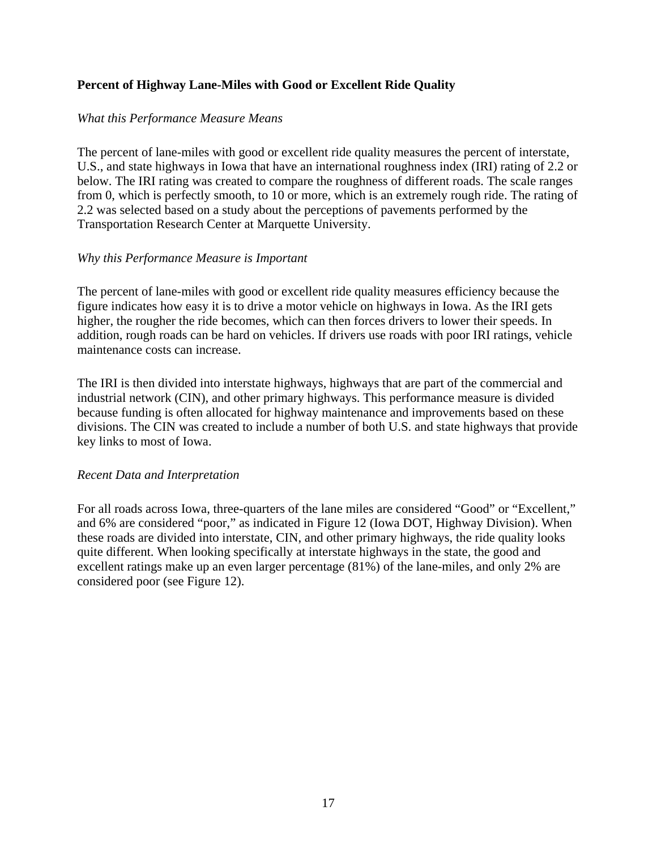## <span id="page-24-0"></span>**Percent of Highway Lane-Miles with Good or Excellent Ride Quality**

## *What this Performance Measure Means*

The percent of lane-miles with good or excellent ride quality measures the percent of interstate, U.S., and state highways in Iowa that have an international roughness index (IRI) rating of 2.2 or below. The IRI rating was created to compare the roughness of different roads. The scale ranges from 0, which is perfectly smooth, to 10 or more, which is an extremely rough ride. The rating of 2.2 was selected based on a study about the perceptions of pavements performed by the Transportation Research Center at Marquette University.

## *Why this Performance Measure is Important*

The percent of lane-miles with good or excellent ride quality measures efficiency because the figure indicates how easy it is to drive a motor vehicle on highways in Iowa. As the IRI gets higher, the rougher the ride becomes, which can then forces drivers to lower their speeds. In addition, rough roads can be hard on vehicles. If drivers use roads with poor IRI ratings, vehicle maintenance costs can increase.

The IRI is then divided into interstate highways, highways that are part of the commercial and industrial network (CIN), and other primary highways. This performance measure is divided because funding is often allocated for highway maintenance and improvements based on these divisions. The CIN was created to include a number of both U.S. and state highways that provide key links to most of Iowa.

## *Recent Data and Interpretation*

For all roads across Iowa, three-quarters of the lane miles are considered "Good" or "Excellent," and 6% are considered "poor," as indicated in Figure 12 (Iowa DOT, Highway Division). When these roads are divided into interstate, CIN, and other primary highways, the ride quality looks quite different. When looking specifically at interstate highways in the state, the good and excellent ratings make up an even larger percentage (81%) of the lane-miles, and only 2% are considered poor (see Figure 12).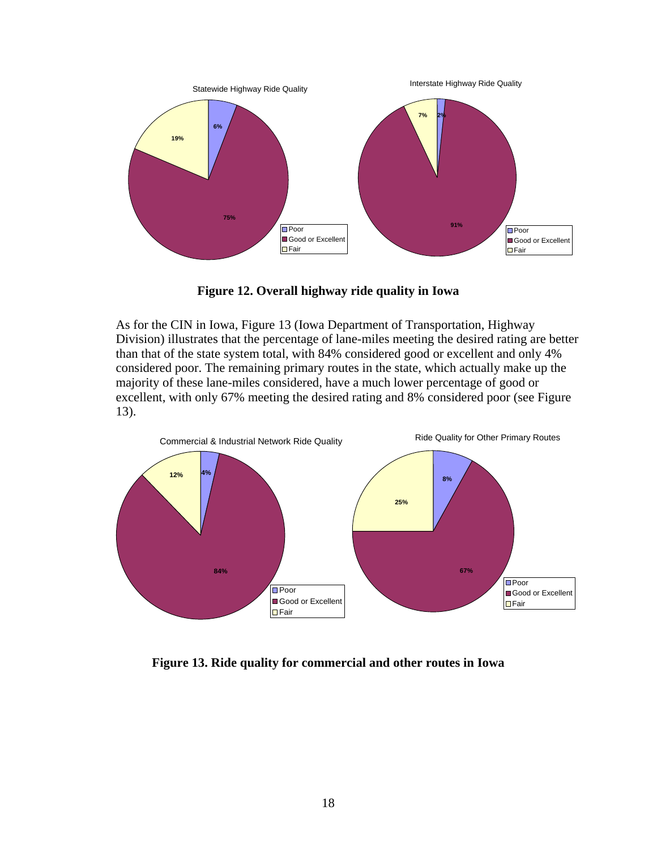<span id="page-25-0"></span>

**Figure 12. Overall highway ride quality in Iowa** 

As for the CIN in Iowa, Figure 13 (Iowa Department of Transportation, Highway Division) illustrates that the percentage of lane-miles meeting the desired rating are better than that of the state system total, with 84% considered good or excellent and only 4% considered poor. The remaining primary routes in the state, which actually make up the majority of these lane-miles considered, have a much lower percentage of good or excellent, with only 67% meeting the desired rating and 8% considered poor (see Figure 13).



**Figure 13. Ride quality for commercial and other routes in Iowa**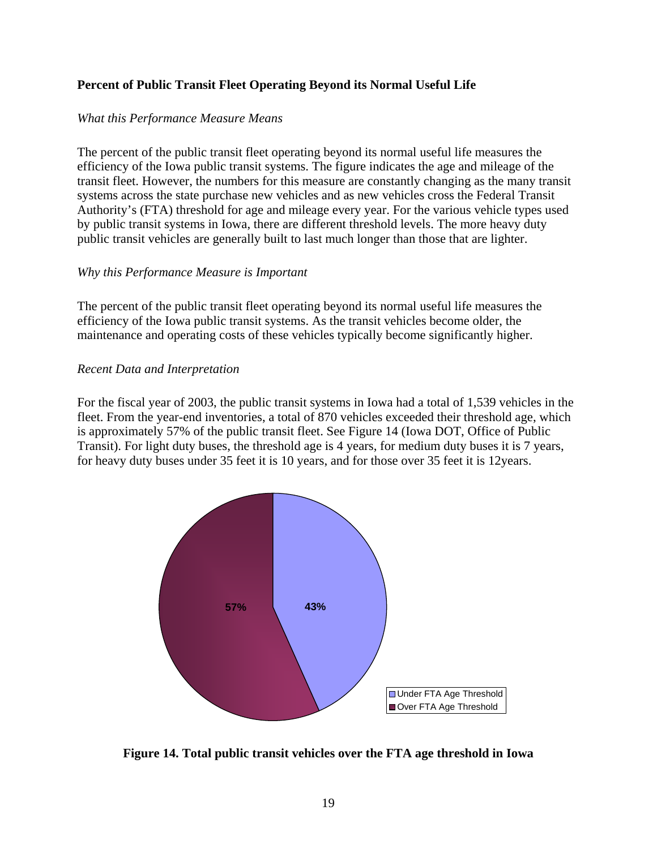## <span id="page-26-0"></span>**Percent of Public Transit Fleet Operating Beyond its Normal Useful Life**

## *What this Performance Measure Means*

The percent of the public transit fleet operating beyond its normal useful life measures the efficiency of the Iowa public transit systems. The figure indicates the age and mileage of the transit fleet. However, the numbers for this measure are constantly changing as the many transit systems across the state purchase new vehicles and as new vehicles cross the Federal Transit Authority's (FTA) threshold for age and mileage every year. For the various vehicle types used by public transit systems in Iowa, there are different threshold levels. The more heavy duty public transit vehicles are generally built to last much longer than those that are lighter.

## *Why this Performance Measure is Important*

The percent of the public transit fleet operating beyond its normal useful life measures the efficiency of the Iowa public transit systems. As the transit vehicles become older, the maintenance and operating costs of these vehicles typically become significantly higher.

## *Recent Data and Interpretation*

For the fiscal year of 2003, the public transit systems in Iowa had a total of 1,539 vehicles in the fleet. From the year-end inventories, a total of 870 vehicles exceeded their threshold age, which is approximately 57% of the public transit fleet. See Figure 14 (Iowa DOT, Office of Public Transit). For light duty buses, the threshold age is 4 years, for medium duty buses it is 7 years, for heavy duty buses under 35 feet it is 10 years, and for those over 35 feet it is 12years.



**Figure 14. Total public transit vehicles over the FTA age threshold in Iowa**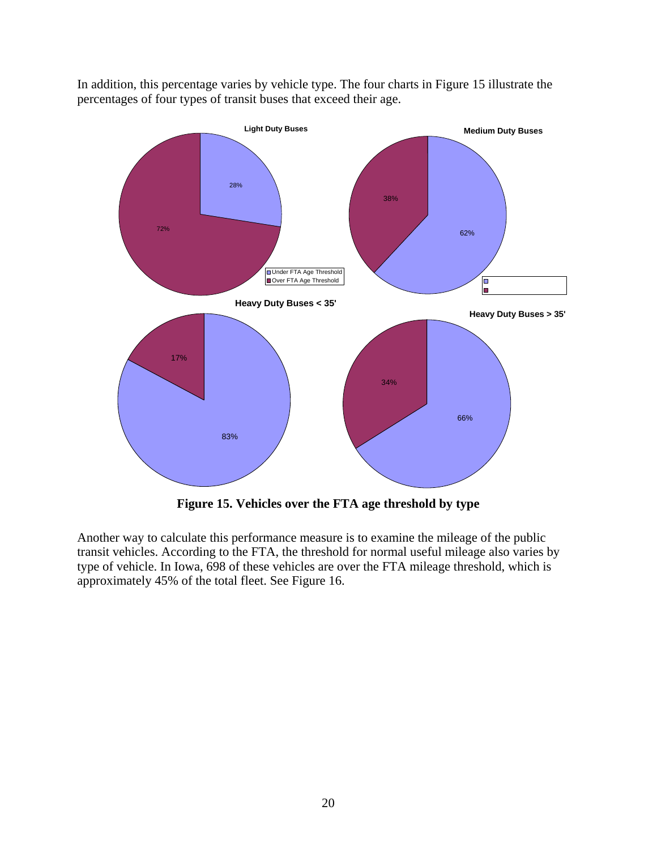

<span id="page-27-0"></span>In addition, this percentage varies by vehicle type. The four charts in Figure 15 illustrate the percentages of four types of transit buses that exceed their age.

**Figure 15. Vehicles over the FTA age threshold by type** 

Another way to calculate this performance measure is to examine the mileage of the public transit vehicles. According to the FTA, the threshold for normal useful mileage also varies by type of vehicle. In Iowa, 698 of these vehicles are over the FTA mileage threshold, which is approximately 45% of the total fleet. See Figure 16.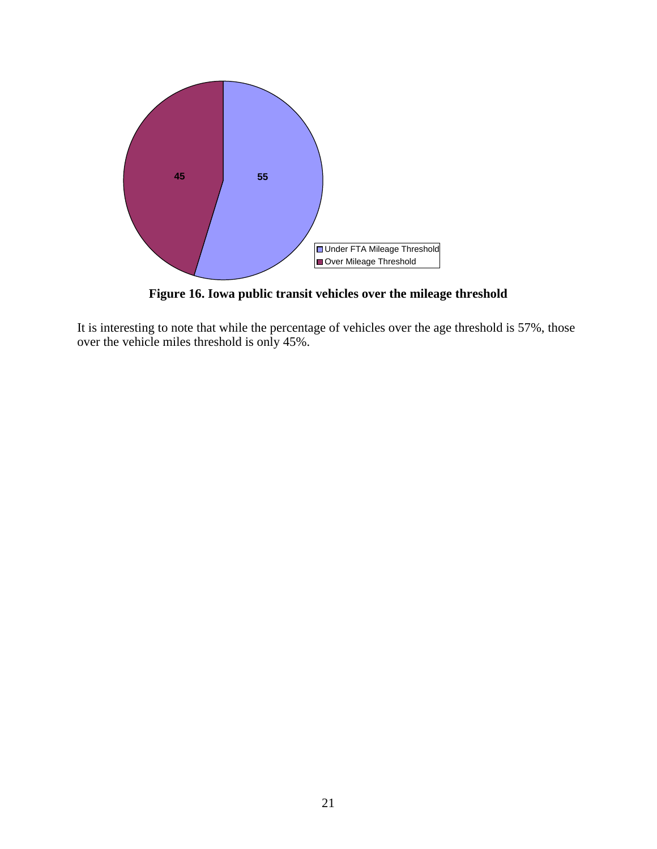<span id="page-28-0"></span>

**Figure 16. Iowa public transit vehicles over the mileage threshold** 

It is interesting to note that while the percentage of vehicles over the age threshold is 57%, those over the vehicle miles threshold is only 45%.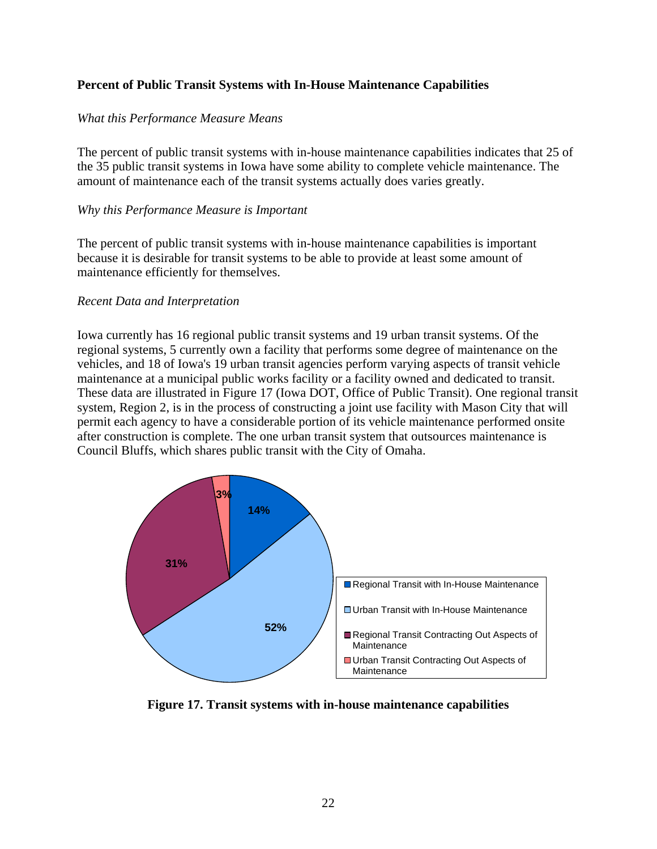## <span id="page-29-0"></span>**Percent of Public Transit Systems with In-House Maintenance Capabilities**

## *What this Performance Measure Means*

The percent of public transit systems with in-house maintenance capabilities indicates that 25 of the 35 public transit systems in Iowa have some ability to complete vehicle maintenance. The amount of maintenance each of the transit systems actually does varies greatly.

#### *Why this Performance Measure is Important*

The percent of public transit systems with in-house maintenance capabilities is important because it is desirable for transit systems to be able to provide at least some amount of maintenance efficiently for themselves.

#### *Recent Data and Interpretation*

Iowa currently has 16 regional public transit systems and 19 urban transit systems. Of the regional systems, 5 currently own a facility that performs some degree of maintenance on the vehicles, and 18 of Iowa's 19 urban transit agencies perform varying aspects of transit vehicle maintenance at a municipal public works facility or a facility owned and dedicated to transit. These data are illustrated in Figure 17 (Iowa DOT, Office of Public Transit). One regional transit system, Region 2, is in the process of constructing a joint use facility with Mason City that will permit each agency to have a considerable portion of its vehicle maintenance performed onsite after construction is complete. The one urban transit system that outsources maintenance is Council Bluffs, which shares public transit with the City of Omaha.



**Figure 17. Transit systems with in-house maintenance capabilities**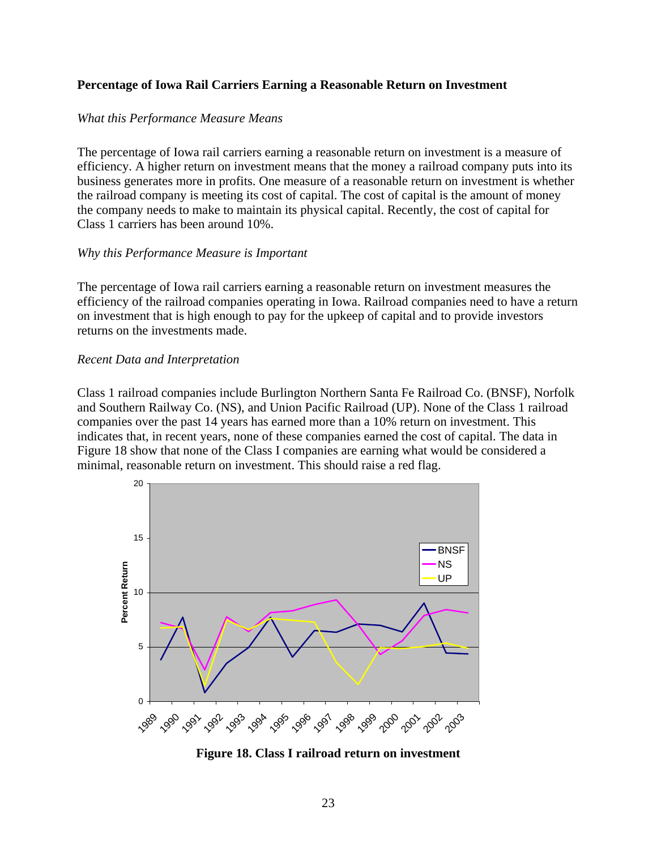## <span id="page-30-0"></span>**Percentage of Iowa Rail Carriers Earning a Reasonable Return on Investment**

## *What this Performance Measure Means*

The percentage of Iowa rail carriers earning a reasonable return on investment is a measure of efficiency. A higher return on investment means that the money a railroad company puts into its business generates more in profits. One measure of a reasonable return on investment is whether the railroad company is meeting its cost of capital. The cost of capital is the amount of money the company needs to make to maintain its physical capital. Recently, the cost of capital for Class 1 carriers has been around 10%.

## *Why this Performance Measure is Important*

The percentage of Iowa rail carriers earning a reasonable return on investment measures the efficiency of the railroad companies operating in Iowa. Railroad companies need to have a return on investment that is high enough to pay for the upkeep of capital and to provide investors returns on the investments made.

## *Recent Data and Interpretation*

Class 1 railroad companies include Burlington Northern Santa Fe Railroad Co. (BNSF), Norfolk and Southern Railway Co. (NS), and Union Pacific Railroad (UP). None of the Class 1 railroad companies over the past 14 years has earned more than a 10% return on investment. This indicates that, in recent years, none of these companies earned the cost of capital. The data in Figure 18 show that none of the Class I companies are earning what would be considered a minimal, reasonable return on investment. This should raise a red flag.



**Figure 18. Class I railroad return on investment**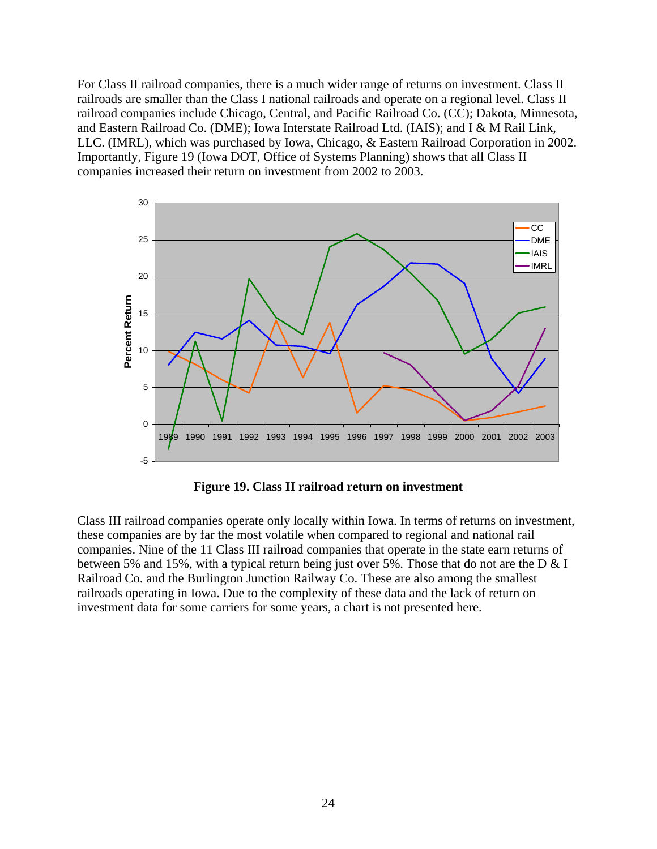<span id="page-31-0"></span>For Class II railroad companies, there is a much wider range of returns on investment. Class II railroads are smaller than the Class I national railroads and operate on a regional level. Class II railroad companies include Chicago, Central, and Pacific Railroad Co. (CC); Dakota, Minnesota, and Eastern Railroad Co. (DME); Iowa Interstate Railroad Ltd. (IAIS); and I & M Rail Link, LLC. (IMRL), which was purchased by Iowa, Chicago, & Eastern Railroad Corporation in 2002. Importantly, Figure 19 (Iowa DOT, Office of Systems Planning) shows that all Class II companies increased their return on investment from 2002 to 2003.



**Figure 19. Class II railroad return on investment** 

Class III railroad companies operate only locally within Iowa. In terms of returns on investment, these companies are by far the most volatile when compared to regional and national rail companies. Nine of the 11 Class III railroad companies that operate in the state earn returns of between 5% and 15%, with a typical return being just over 5%. Those that do not are the D & I Railroad Co. and the Burlington Junction Railway Co. These are also among the smallest railroads operating in Iowa. Due to the complexity of these data and the lack of return on investment data for some carriers for some years, a chart is not presented here.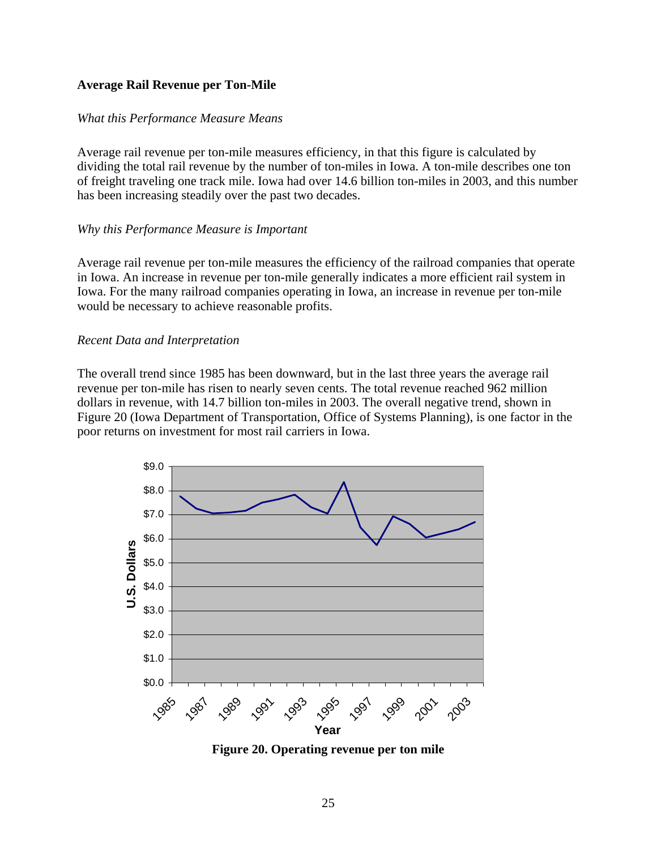## <span id="page-32-0"></span>**Average Rail Revenue per Ton-Mile**

## *What this Performance Measure Means*

Average rail revenue per ton-mile measures efficiency, in that this figure is calculated by dividing the total rail revenue by the number of ton-miles in Iowa. A ton-mile describes one ton of freight traveling one track mile. Iowa had over 14.6 billion ton-miles in 2003, and this number has been increasing steadily over the past two decades.

## *Why this Performance Measure is Important*

Average rail revenue per ton-mile measures the efficiency of the railroad companies that operate in Iowa. An increase in revenue per ton-mile generally indicates a more efficient rail system in Iowa. For the many railroad companies operating in Iowa, an increase in revenue per ton-mile would be necessary to achieve reasonable profits.

## *Recent Data and Interpretation*

The overall trend since 1985 has been downward, but in the last three years the average rail revenue per ton-mile has risen to nearly seven cents. The total revenue reached 962 million dollars in revenue, with 14.7 billion ton-miles in 2003. The overall negative trend, shown in Figure 20 (Iowa Department of Transportation, Office of Systems Planning), is one factor in the poor returns on investment for most rail carriers in Iowa.



**Figure 20. Operating revenue per ton mile**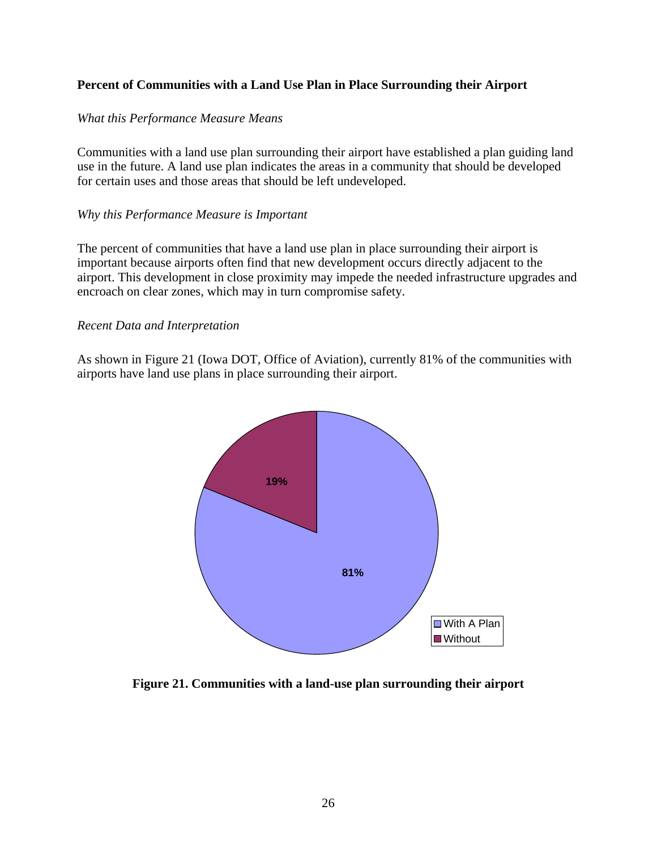## <span id="page-33-0"></span>**Percent of Communities with a Land Use Plan in Place Surrounding their Airport**

## *What this Performance Measure Means*

Communities with a land use plan surrounding their airport have established a plan guiding land use in the future. A land use plan indicates the areas in a community that should be developed for certain uses and those areas that should be left undeveloped.

## *Why this Performance Measure is Important*

The percent of communities that have a land use plan in place surrounding their airport is important because airports often find that new development occurs directly adjacent to the airport. This development in close proximity may impede the needed infrastructure upgrades and encroach on clear zones, which may in turn compromise safety.

## *Recent Data and Interpretation*

As shown in Figure 21 (Iowa DOT, Office of Aviation), currently 81% of the communities with airports have land use plans in place surrounding their airport.



**Figure 21. Communities with a land-use plan surrounding their airport**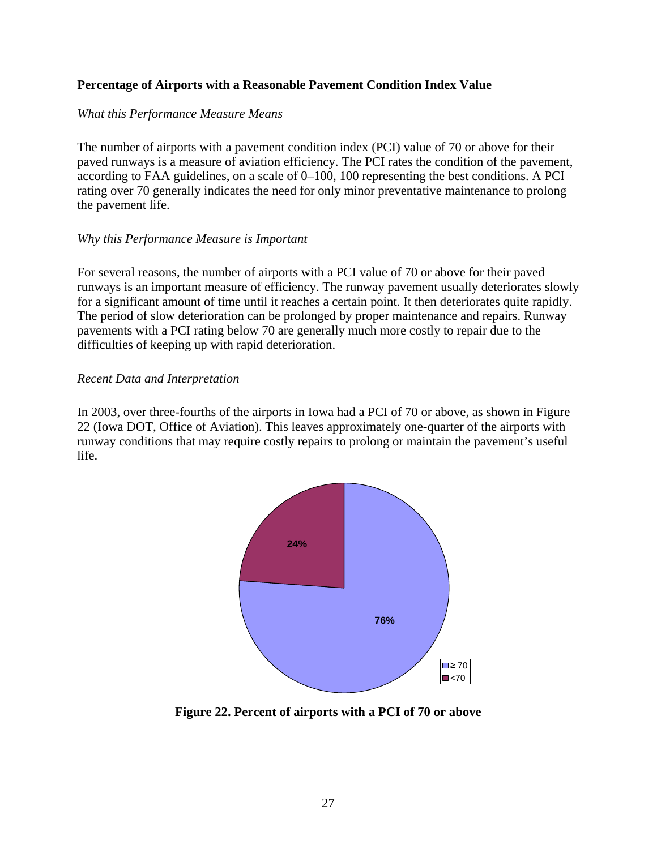## <span id="page-34-0"></span>**Percentage of Airports with a Reasonable Pavement Condition Index Value**

## *What this Performance Measure Means*

The number of airports with a pavement condition index (PCI) value of 70 or above for their paved runways is a measure of aviation efficiency. The PCI rates the condition of the pavement, according to FAA guidelines, on a scale of 0–100, 100 representing the best conditions. A PCI rating over 70 generally indicates the need for only minor preventative maintenance to prolong the pavement life.

## *Why this Performance Measure is Important*

For several reasons, the number of airports with a PCI value of 70 or above for their paved runways is an important measure of efficiency. The runway pavement usually deteriorates slowly for a significant amount of time until it reaches a certain point. It then deteriorates quite rapidly. The period of slow deterioration can be prolonged by proper maintenance and repairs. Runway pavements with a PCI rating below 70 are generally much more costly to repair due to the difficulties of keeping up with rapid deterioration.

## *Recent Data and Interpretation*

In 2003, over three-fourths of the airports in Iowa had a PCI of 70 or above, as shown in Figure 22 (Iowa DOT, Office of Aviation). This leaves approximately one-quarter of the airports with runway conditions that may require costly repairs to prolong or maintain the pavement's useful life.



**Figure 22. Percent of airports with a PCI of 70 or above**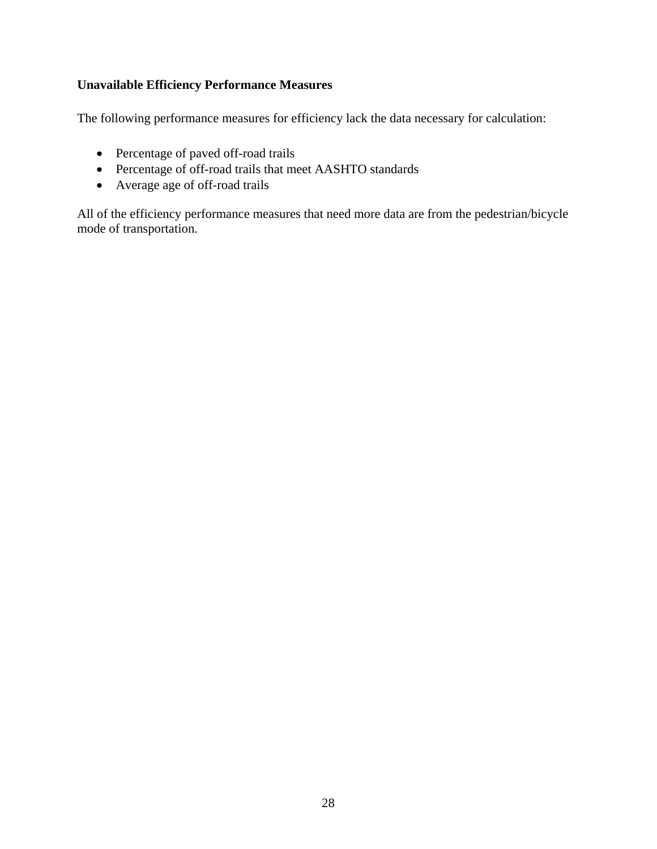## <span id="page-35-0"></span>**Unavailable Efficiency Performance Measures**

The following performance measures for efficiency lack the data necessary for calculation:

- Percentage of paved off-road trails
- Percentage of off-road trails that meet AASHTO standards
- Average age of off-road trails

All of the efficiency performance measures that need more data are from the pedestrian/bicycle mode of transportation.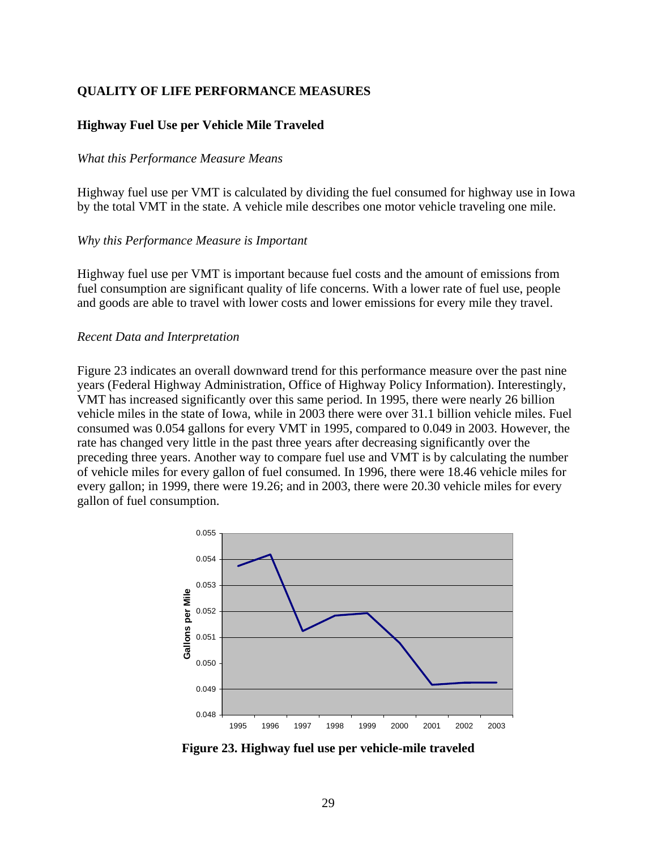## <span id="page-36-0"></span>**QUALITY OF LIFE PERFORMANCE MEASURES**

## **Highway Fuel Use per Vehicle Mile Traveled**

#### *What this Performance Measure Means*

Highway fuel use per VMT is calculated by dividing the fuel consumed for highway use in Iowa by the total VMT in the state. A vehicle mile describes one motor vehicle traveling one mile.

#### *Why this Performance Measure is Important*

Highway fuel use per VMT is important because fuel costs and the amount of emissions from fuel consumption are significant quality of life concerns. With a lower rate of fuel use, people and goods are able to travel with lower costs and lower emissions for every mile they travel.

#### *Recent Data and Interpretation*

Figure 23 indicates an overall downward trend for this performance measure over the past nine years (Federal Highway Administration, Office of Highway Policy Information). Interestingly, VMT has increased significantly over this same period. In 1995, there were nearly 26 billion vehicle miles in the state of Iowa, while in 2003 there were over 31.1 billion vehicle miles. Fuel consumed was 0.054 gallons for every VMT in 1995, compared to 0.049 in 2003. However, the rate has changed very little in the past three years after decreasing significantly over the preceding three years. Another way to compare fuel use and VMT is by calculating the number of vehicle miles for every gallon of fuel consumed. In 1996, there were 18.46 vehicle miles for every gallon; in 1999, there were 19.26; and in 2003, there were 20.30 vehicle miles for every gallon of fuel consumption.



**Figure 23. Highway fuel use per vehicle-mile traveled**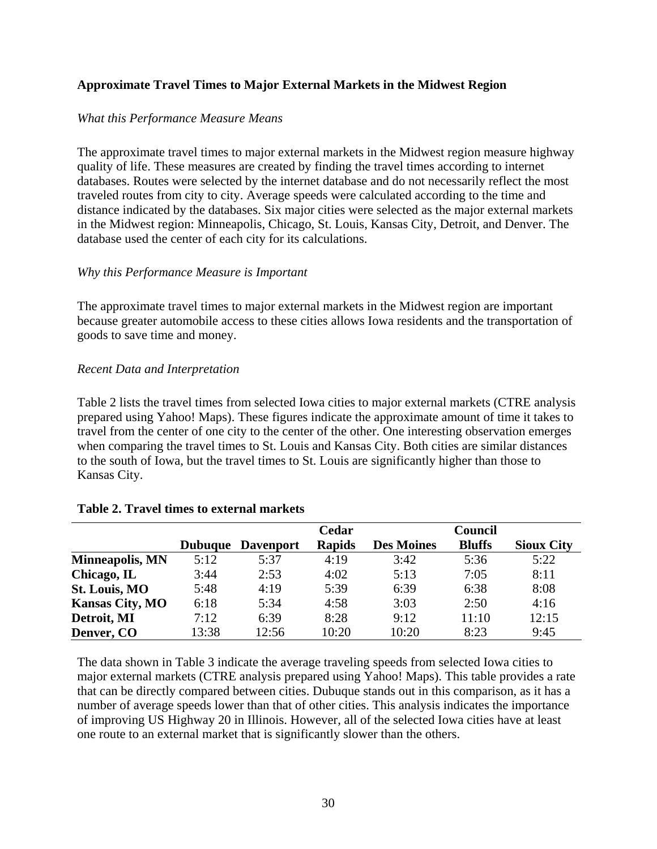## <span id="page-37-0"></span>**Approximate Travel Times to Major External Markets in the Midwest Region**

## *What this Performance Measure Means*

The approximate travel times to major external markets in the Midwest region measure highway quality of life. These measures are created by finding the travel times according to internet databases. Routes were selected by the internet database and do not necessarily reflect the most traveled routes from city to city. Average speeds were calculated according to the time and distance indicated by the databases. Six major cities were selected as the major external markets in the Midwest region: Minneapolis, Chicago, St. Louis, Kansas City, Detroit, and Denver. The database used the center of each city for its calculations.

## *Why this Performance Measure is Important*

The approximate travel times to major external markets in the Midwest region are important because greater automobile access to these cities allows Iowa residents and the transportation of goods to save time and money.

## *Recent Data and Interpretation*

Table 2 lists the travel times from selected Iowa cities to major external markets (CTRE analysis prepared using Yahoo! Maps). These figures indicate the approximate amount of time it takes to travel from the center of one city to the center of the other. One interesting observation emerges when comparing the travel times to St. Louis and Kansas City. Both cities are similar distances to the south of Iowa, but the travel times to St. Louis are significantly higher than those to Kansas City.

|                        |                |                  | Cedar         |                   | Council       |                   |
|------------------------|----------------|------------------|---------------|-------------------|---------------|-------------------|
|                        | <b>Dubuque</b> | <b>Davenport</b> | <b>Rapids</b> | <b>Des Moines</b> | <b>Bluffs</b> | <b>Sioux City</b> |
| <b>Minneapolis, MN</b> | 5:12           | 5:37             | 4:19          | 3:42              | 5:36          | 5:22              |
| Chicago, IL            | 3:44           | 2:53             | 4:02          | 5:13              | 7:05          | 8:11              |
| <b>St. Louis, MO</b>   | 5:48           | 4:19             | 5:39          | 6:39              | 6:38          | 8:08              |
| <b>Kansas City, MO</b> | 6:18           | 5:34             | 4:58          | 3:03              | 2:50          | 4:16              |
| Detroit, MI            | 7:12           | 6:39             | 8:28          | 9:12              | 11:10         | 12:15             |
| Denver, CO             | 13:38          | 12:56            | 10:20         | 10:20             | 8:23          | 9:45              |

#### **Table 2. Travel times to external markets**

The data shown in Table 3 indicate the average traveling speeds from selected Iowa cities to major external markets (CTRE analysis prepared using Yahoo! Maps). This table provides a rate that can be directly compared between cities. Dubuque stands out in this comparison, as it has a number of average speeds lower than that of other cities. This analysis indicates the importance of improving US Highway 20 in Illinois. However, all of the selected Iowa cities have at least one route to an external market that is significantly slower than the others.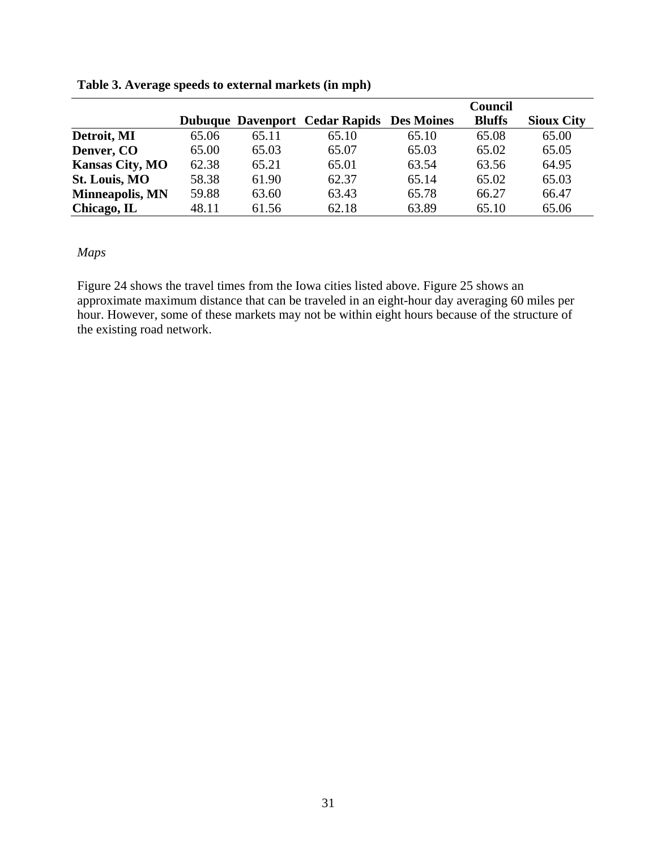|                        |       |       |                                                  |       | Council       |                   |
|------------------------|-------|-------|--------------------------------------------------|-------|---------------|-------------------|
|                        |       |       | <b>Dubuque Davenport Cedar Rapids Des Moines</b> |       | <b>Bluffs</b> | <b>Sioux City</b> |
| Detroit, MI            | 65.06 | 65.11 | 65.10                                            | 65.10 | 65.08         | 65.00             |
| Denver, CO             | 65.00 | 65.03 | 65.07                                            | 65.03 | 65.02         | 65.05             |
| <b>Kansas City, MO</b> | 62.38 | 65.21 | 65.01                                            | 63.54 | 63.56         | 64.95             |
| <b>St. Louis, MO</b>   | 58.38 | 61.90 | 62.37                                            | 65.14 | 65.02         | 65.03             |
| <b>Minneapolis, MN</b> | 59.88 | 63.60 | 63.43                                            | 65.78 | 66.27         | 66.47             |
| Chicago, IL            | 48.11 | 61.56 | 62.18                                            | 63.89 | 65.10         | 65.06             |

<span id="page-38-0"></span>**Table 3. Average speeds to external markets (in mph)** 

## *Maps*

Figure 24 shows the travel times from the Iowa cities listed above. Figure 25 shows an approximate maximum distance that can be traveled in an eight-hour day averaging 60 miles per hour. However, some of these markets may not be within eight hours because of the structure of the existing road network.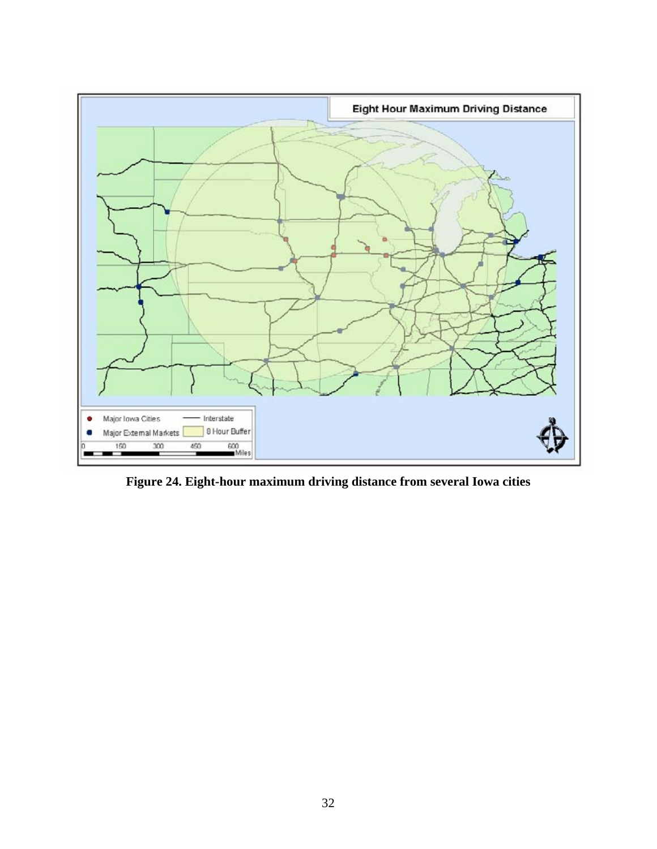<span id="page-39-0"></span>

**Figure 24. Eight-hour maximum driving distance from several Iowa cities**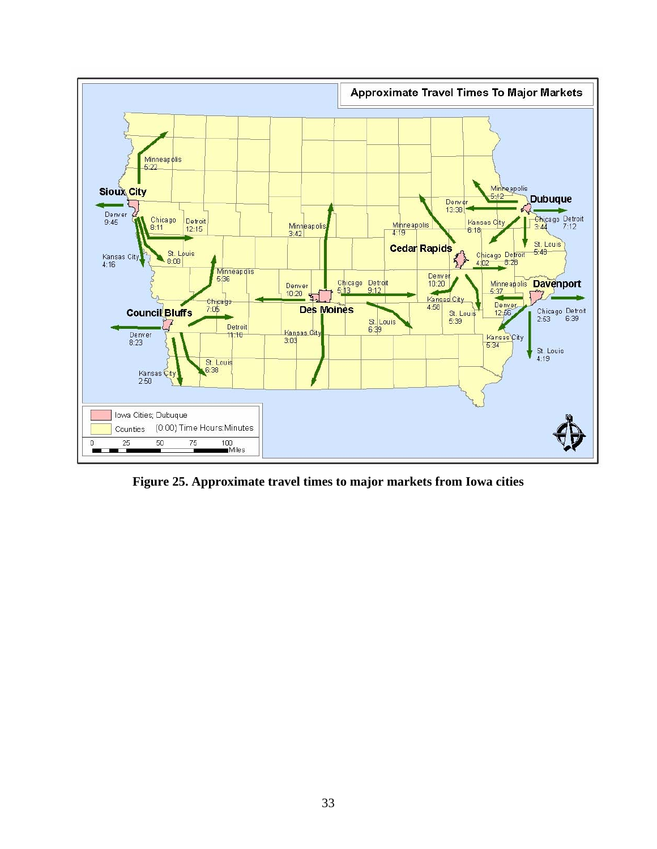<span id="page-40-0"></span>

**Figure 25. Approximate travel times to major markets from Iowa cities**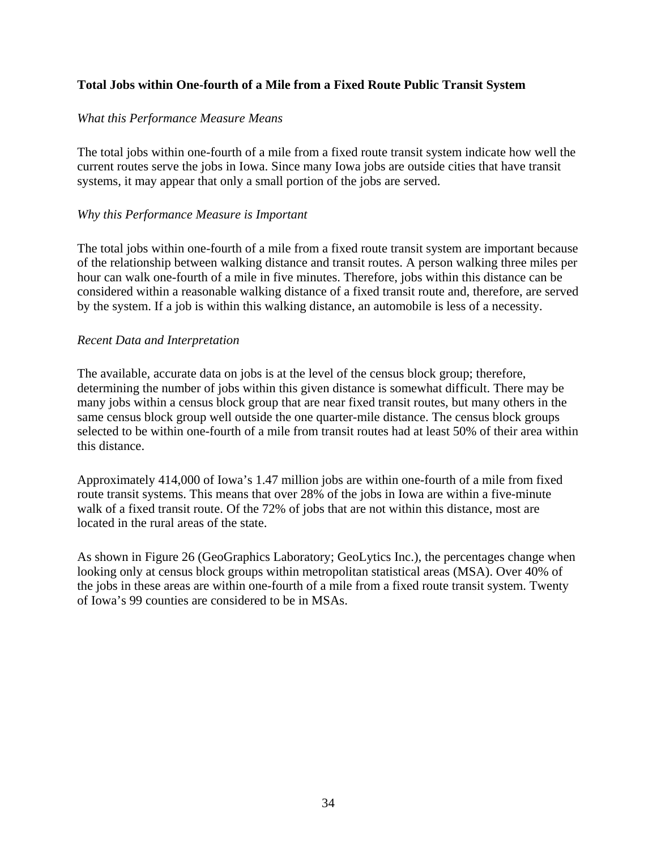## <span id="page-41-0"></span>**Total Jobs within One-fourth of a Mile from a Fixed Route Public Transit System**

## *What this Performance Measure Means*

The total jobs within one-fourth of a mile from a fixed route transit system indicate how well the current routes serve the jobs in Iowa. Since many Iowa jobs are outside cities that have transit systems, it may appear that only a small portion of the jobs are served.

## *Why this Performance Measure is Important*

The total jobs within one-fourth of a mile from a fixed route transit system are important because of the relationship between walking distance and transit routes. A person walking three miles per hour can walk one-fourth of a mile in five minutes. Therefore, jobs within this distance can be considered within a reasonable walking distance of a fixed transit route and, therefore, are served by the system. If a job is within this walking distance, an automobile is less of a necessity.

## *Recent Data and Interpretation*

The available, accurate data on jobs is at the level of the census block group; therefore, determining the number of jobs within this given distance is somewhat difficult. There may be many jobs within a census block group that are near fixed transit routes, but many others in the same census block group well outside the one quarter-mile distance. The census block groups selected to be within one-fourth of a mile from transit routes had at least 50% of their area within this distance.

Approximately 414,000 of Iowa's 1.47 million jobs are within one-fourth of a mile from fixed route transit systems. This means that over 28% of the jobs in Iowa are within a five-minute walk of a fixed transit route. Of the 72% of jobs that are not within this distance, most are located in the rural areas of the state.

As shown in Figure 26 (GeoGraphics Laboratory; GeoLytics Inc.), the percentages change when looking only at census block groups within metropolitan statistical areas (MSA). Over 40% of the jobs in these areas are within one-fourth of a mile from a fixed route transit system. Twenty of Iowa's 99 counties are considered to be in MSAs.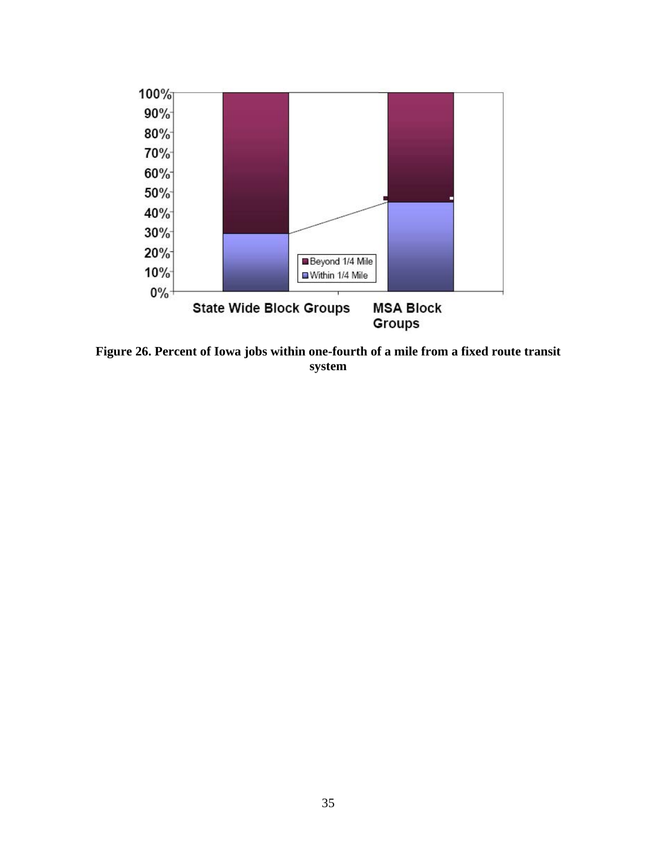<span id="page-42-0"></span>

**Figure 26. Percent of Iowa jobs within one-fourth of a mile from a fixed route transit system**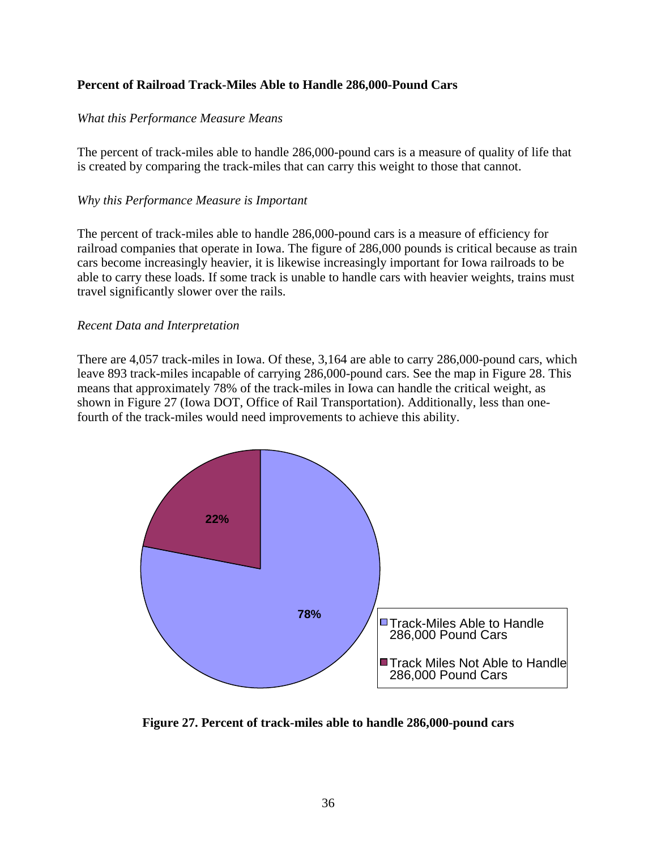## <span id="page-43-0"></span>**Percent of Railroad Track-Miles Able to Handle 286,000-Pound Cars**

## *What this Performance Measure Means*

The percent of track-miles able to handle 286,000-pound cars is a measure of quality of life that is created by comparing the track-miles that can carry this weight to those that cannot.

## *Why this Performance Measure is Important*

The percent of track-miles able to handle 286,000-pound cars is a measure of efficiency for railroad companies that operate in Iowa. The figure of 286,000 pounds is critical because as train cars become increasingly heavier, it is likewise increasingly important for Iowa railroads to be able to carry these loads. If some track is unable to handle cars with heavier weights, trains must travel significantly slower over the rails.

## *Recent Data and Interpretation*

There are 4,057 track-miles in Iowa. Of these, 3,164 are able to carry 286,000-pound cars, which leave 893 track-miles incapable of carrying 286,000-pound cars. See the map in Figure 28. This means that approximately 78% of the track-miles in Iowa can handle the critical weight, as shown in Figure 27 (Iowa DOT, Office of Rail Transportation). Additionally, less than onefourth of the track-miles would need improvements to achieve this ability.



**Figure 27. Percent of track-miles able to handle 286,000-pound cars**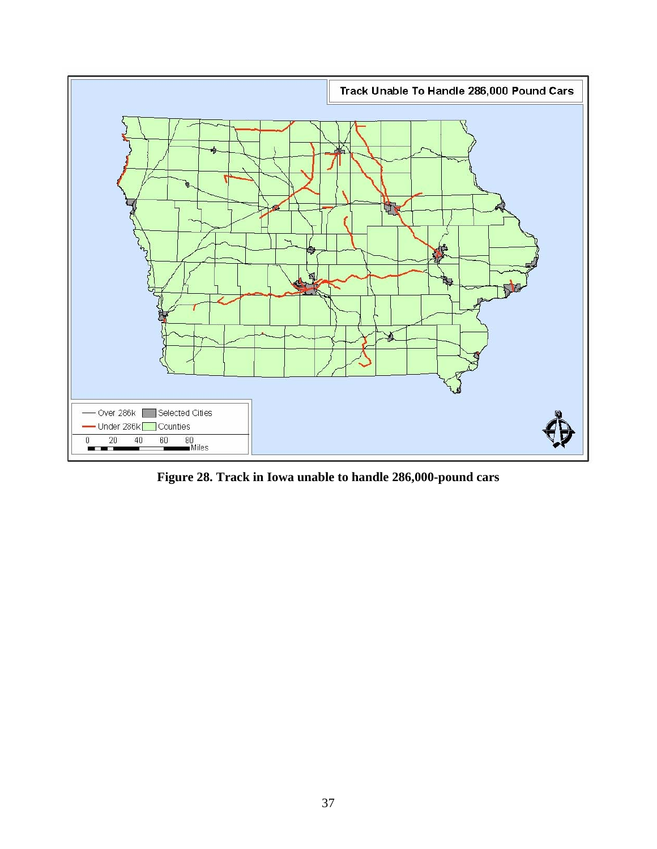<span id="page-44-0"></span>

**Figure 28. Track in Iowa unable to handle 286,000-pound cars**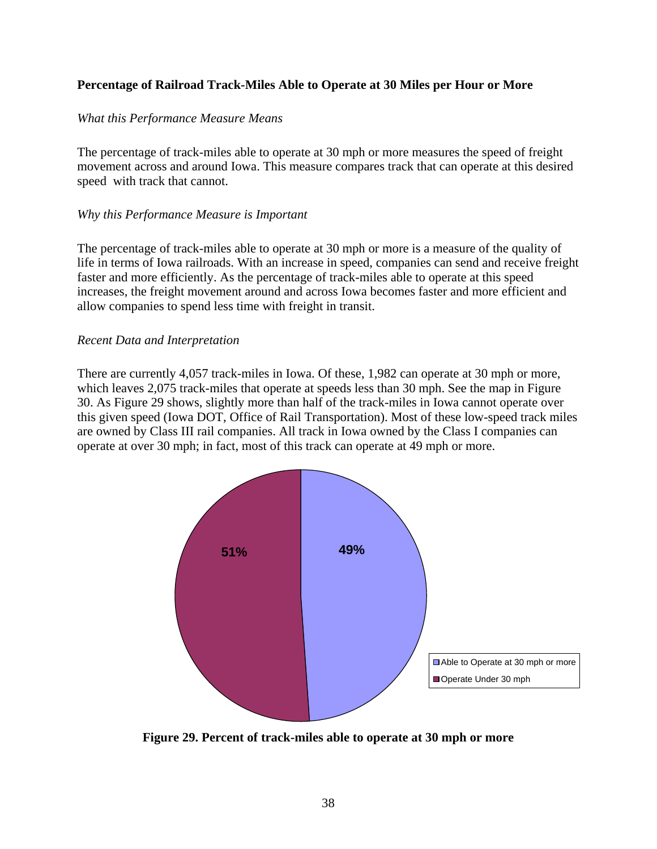## <span id="page-45-0"></span>**Percentage of Railroad Track-Miles Able to Operate at 30 Miles per Hour or More**

## *What this Performance Measure Means*

The percentage of track-miles able to operate at 30 mph or more measures the speed of freight movement across and around Iowa. This measure compares track that can operate at this desired speed with track that cannot.

## *Why this Performance Measure is Important*

The percentage of track-miles able to operate at 30 mph or more is a measure of the quality of life in terms of Iowa railroads. With an increase in speed, companies can send and receive freight faster and more efficiently. As the percentage of track-miles able to operate at this speed increases, the freight movement around and across Iowa becomes faster and more efficient and allow companies to spend less time with freight in transit.

## *Recent Data and Interpretation*

There are currently 4,057 track-miles in Iowa. Of these, 1,982 can operate at 30 mph or more, which leaves 2,075 track-miles that operate at speeds less than 30 mph. See the map in Figure 30. As Figure 29 shows, slightly more than half of the track-miles in Iowa cannot operate over this given speed (Iowa DOT, Office of Rail Transportation). Most of these low-speed track miles are owned by Class III rail companies. All track in Iowa owned by the Class I companies can operate at over 30 mph; in fact, most of this track can operate at 49 mph or more.



**Figure 29. Percent of track-miles able to operate at 30 mph or more**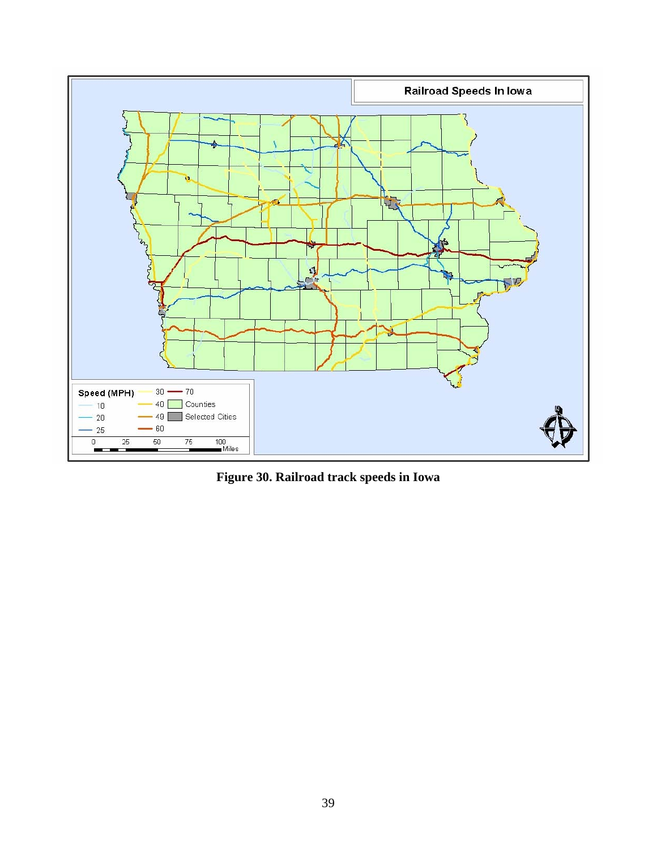<span id="page-46-0"></span>

**Figure 30. Railroad track speeds in Iowa**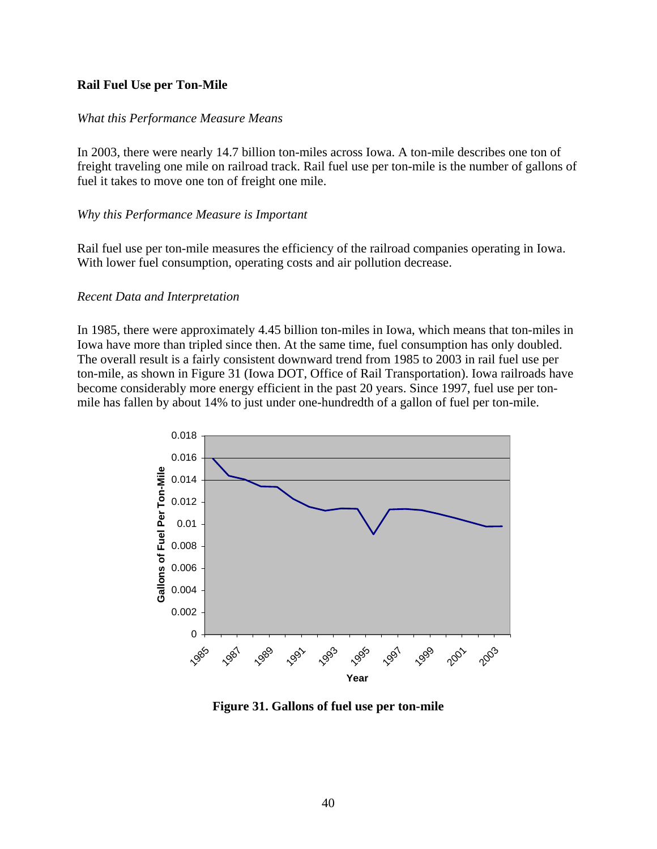## <span id="page-47-0"></span>**Rail Fuel Use per Ton-Mile**

## *What this Performance Measure Means*

In 2003, there were nearly 14.7 billion ton-miles across Iowa. A ton-mile describes one ton of freight traveling one mile on railroad track. Rail fuel use per ton-mile is the number of gallons of fuel it takes to move one ton of freight one mile.

## *Why this Performance Measure is Important*

Rail fuel use per ton-mile measures the efficiency of the railroad companies operating in Iowa. With lower fuel consumption, operating costs and air pollution decrease.

#### *Recent Data and Interpretation*

In 1985, there were approximately 4.45 billion ton-miles in Iowa, which means that ton-miles in Iowa have more than tripled since then. At the same time, fuel consumption has only doubled. The overall result is a fairly consistent downward trend from 1985 to 2003 in rail fuel use per ton-mile, as shown in Figure 31 (Iowa DOT, Office of Rail Transportation). Iowa railroads have become considerably more energy efficient in the past 20 years. Since 1997, fuel use per tonmile has fallen by about 14% to just under one-hundredth of a gallon of fuel per ton-mile.



**Figure 31. Gallons of fuel use per ton-mile**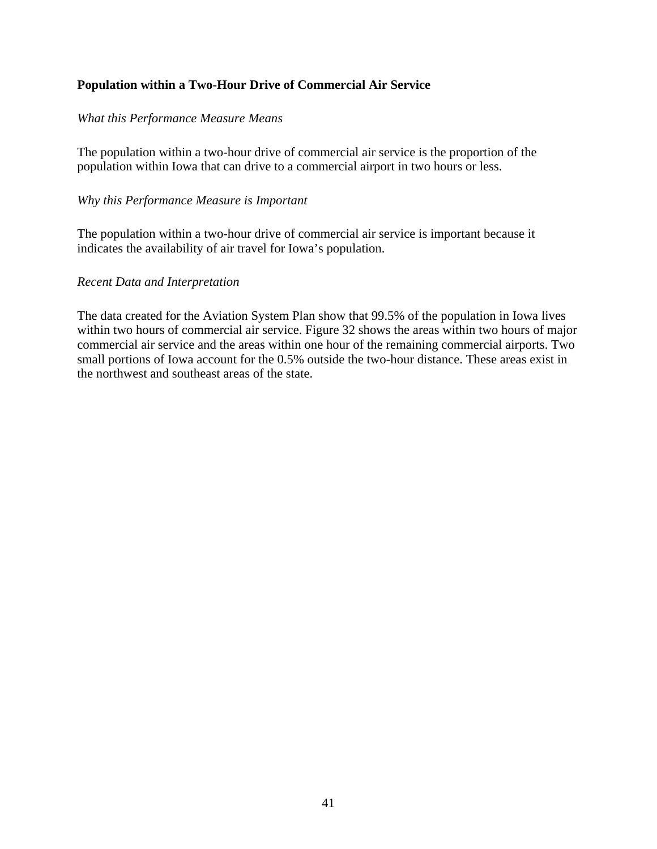## <span id="page-48-0"></span>**Population within a Two-Hour Drive of Commercial Air Service**

## *What this Performance Measure Means*

The population within a two-hour drive of commercial air service is the proportion of the population within Iowa that can drive to a commercial airport in two hours or less.

## *Why this Performance Measure is Important*

The population within a two-hour drive of commercial air service is important because it indicates the availability of air travel for Iowa's population.

## *Recent Data and Interpretation*

The data created for the Aviation System Plan show that 99.5% of the population in Iowa lives within two hours of commercial air service. Figure 32 shows the areas within two hours of major commercial air service and the areas within one hour of the remaining commercial airports. Two small portions of Iowa account for the 0.5% outside the two-hour distance. These areas exist in the northwest and southeast areas of the state.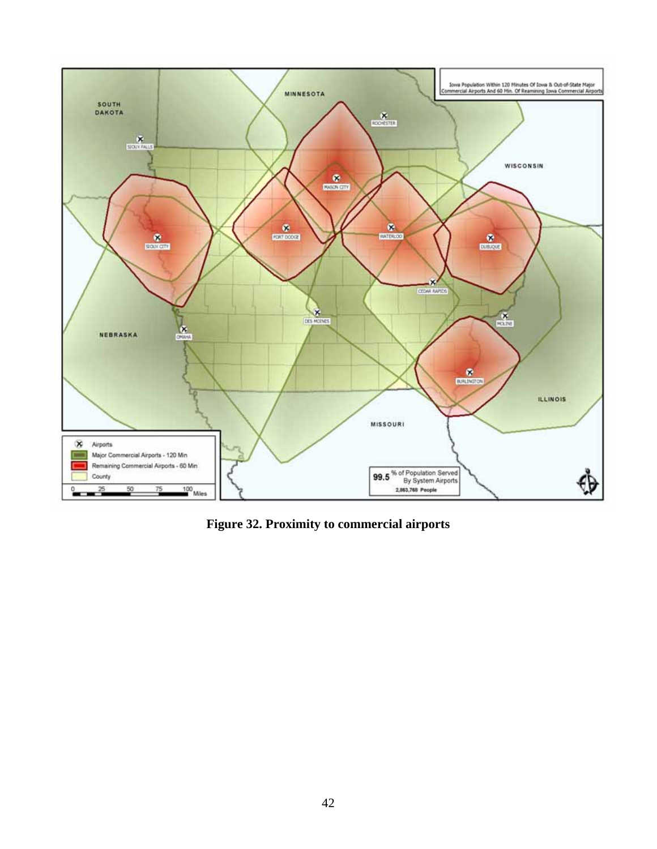<span id="page-49-0"></span>

**Figure 32. Proximity to commercial airports**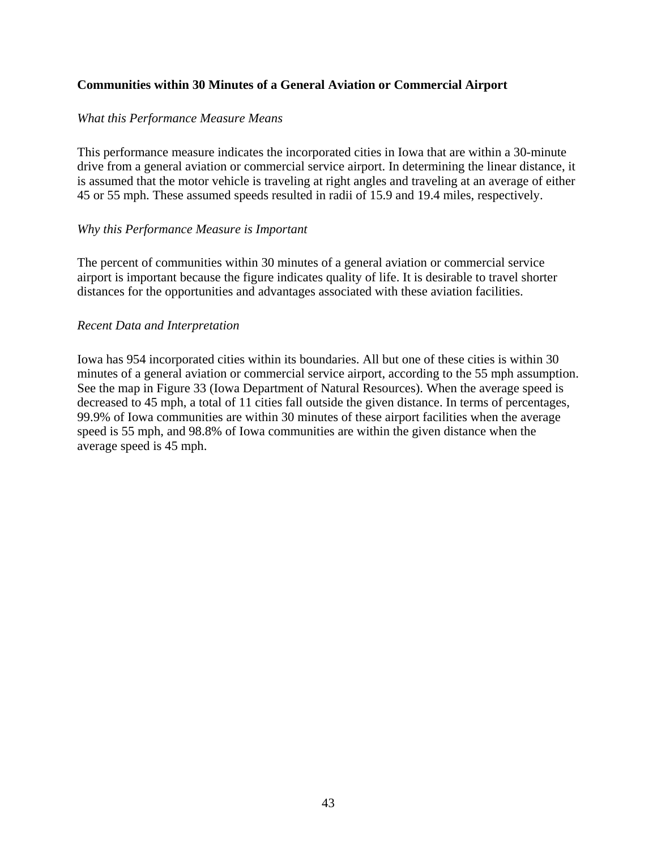## <span id="page-50-0"></span>**Communities within 30 Minutes of a General Aviation or Commercial Airport**

## *What this Performance Measure Means*

This performance measure indicates the incorporated cities in Iowa that are within a 30-minute drive from a general aviation or commercial service airport. In determining the linear distance, it is assumed that the motor vehicle is traveling at right angles and traveling at an average of either 45 or 55 mph. These assumed speeds resulted in radii of 15.9 and 19.4 miles, respectively.

#### *Why this Performance Measure is Important*

The percent of communities within 30 minutes of a general aviation or commercial service airport is important because the figure indicates quality of life. It is desirable to travel shorter distances for the opportunities and advantages associated with these aviation facilities.

## *Recent Data and Interpretation*

Iowa has 954 incorporated cities within its boundaries. All but one of these cities is within 30 minutes of a general aviation or commercial service airport, according to the 55 mph assumption. See the map in Figure 33 (Iowa Department of Natural Resources). When the average speed is decreased to 45 mph, a total of 11 cities fall outside the given distance. In terms of percentages, 99.9% of Iowa communities are within 30 minutes of these airport facilities when the average speed is 55 mph, and 98.8% of Iowa communities are within the given distance when the average speed is 45 mph.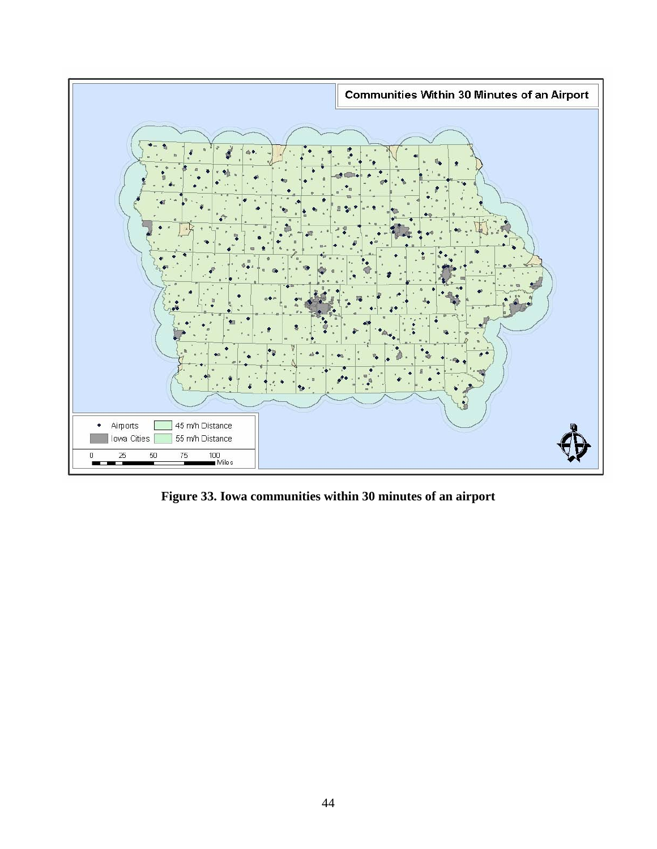<span id="page-51-0"></span>

**Figure 33. Iowa communities within 30 minutes of an airport**